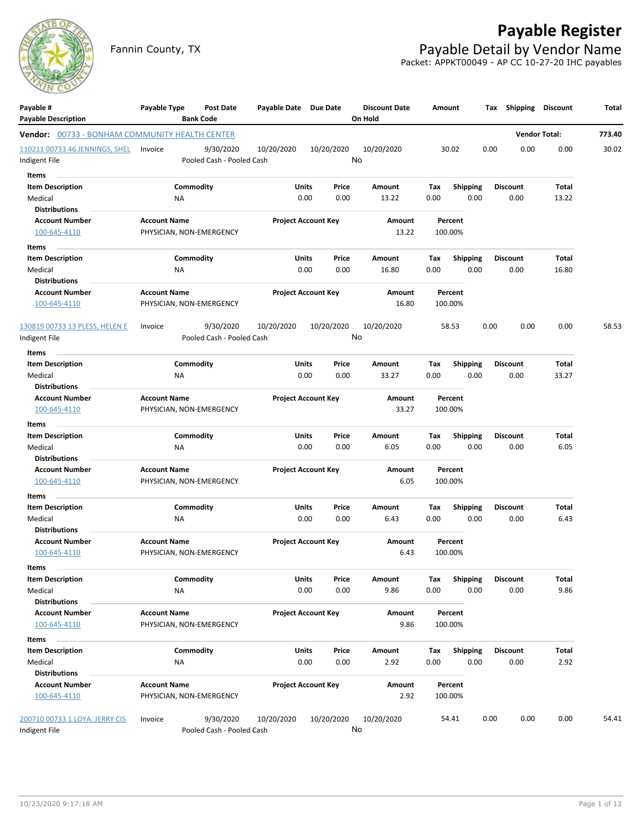

Fannin County, TX **Payable Detail by Vendor Name** Packet: APPKT00049 - AP CC 10-27-20 IHC payables



| <b>Bank Code</b><br><b>Vendor Total:</b><br>773.40<br><b>Vendor:</b> 00733 - BONHAM COMMUNITY HEALTH CENTER<br>9/30/2020<br>10/20/2020<br>10/20/2020<br>10/20/2020<br>30.02<br>0.00<br>0.00<br>0.00<br>30.02<br>110211 00733 46 JENNINGS, SHEL<br>Invoice<br>No<br>Indigent File<br>Pooled Cash - Pooled Cash<br>Items<br><b>Item Description</b><br>Commodity<br>Units<br><b>Shipping</b><br>Price<br>Amount<br>Tax<br><b>Discount</b><br>Total<br>0.00<br>0.00<br>13.22<br>0.00<br>0.00<br>13.22<br>Medical<br>ΝA<br>0.00<br><b>Distributions</b><br><b>Account Number</b><br><b>Account Name</b><br><b>Project Account Key</b><br>Amount<br>Percent<br>100-645-4110<br>PHYSICIAN, NON-EMERGENCY<br>13.22<br>100.00%<br>Items<br>Commodity<br><b>Item Description</b><br>Units<br>Price<br>Amount<br>Tax<br><b>Shipping</b><br><b>Discount</b><br>Total<br>0.00<br>0.00<br>16.80<br>0.00<br>0.00<br>0.00<br>16.80<br>Medical<br>ΝA<br><b>Distributions</b><br><b>Account Name</b><br><b>Project Account Key</b><br><b>Account Number</b><br>Amount<br>Percent<br>16.80<br>100-645-4110<br>PHYSICIAN, NON-EMERGENCY<br>100.00%<br>0.00<br>0.00<br>0.00<br>130819 00733 13 PLESS, HELEN E<br>9/30/2020<br>10/20/2020<br>10/20/2020<br>10/20/2020<br>58.53<br>Invoice<br>No<br>Pooled Cash - Pooled Cash<br>Indigent File<br>Items<br><b>Item Description</b><br>Commodity<br>Units<br><b>Shipping</b><br><b>Discount</b><br>Price<br>Amount<br>Tax<br>Total<br>0.00<br>0.00<br>0.00<br>0.00<br>33.27<br>Medical<br>ΝA<br>33.27<br>0.00<br><b>Distributions</b><br><b>Project Account Key</b><br><b>Account Number</b><br><b>Account Name</b><br>Amount<br>Percent<br>100-645-4110<br>PHYSICIAN, NON-EMERGENCY<br>33.27<br>100.00%<br>Items<br>Commodity<br>Units<br><b>Item Description</b><br>Price<br>Amount<br>Tax<br><b>Shipping</b><br><b>Discount</b><br>Total<br>Medical<br>ΝA<br>0.00<br>0.00<br>6.05<br>0.00<br>0.00<br>0.00<br>6.05<br><b>Distributions</b><br><b>Account Name</b><br><b>Project Account Key</b><br><b>Account Number</b><br>Amount<br>Percent<br>6.05<br>100.00%<br>100-645-4110<br>PHYSICIAN, NON-EMERGENCY<br>Items<br><b>Item Description</b><br>Commodity<br>Units<br><b>Shipping</b><br>Price<br>Amount<br>Tax<br><b>Discount</b><br>Total<br>0.00<br>Medical<br><b>NA</b><br>0.00<br>0.00<br>6.43<br>0.00<br>0.00<br>6.43<br><b>Distributions</b><br><b>Account Number</b><br><b>Account Name</b><br><b>Project Account Key</b><br>Amount<br>Percent<br>100-645-4110<br>PHYSICIAN, NON-EMERGENCY<br>6.43<br>100.00%<br>Items<br>Units<br>Commodity<br>Price<br><b>Discount</b><br>Total<br><b>Item Description</b><br>Amount<br>Tax<br>Shipping<br>0.00<br>0.00<br>0.00<br>9.86<br>Medical<br>9.86<br>0.00<br>0.00<br>ΝA<br><b>Distributions</b><br><b>Account Name</b><br><b>Project Account Key</b><br><b>Account Number</b><br>Percent<br>Amount<br>9.86<br>PHYSICIAN, NON-EMERGENCY<br>100.00%<br>100-645-4110<br>Items<br>Commodity<br><b>Item Description</b><br>Units<br>Price<br><b>Shipping</b><br><b>Discount</b><br>Total<br>Amount<br>Tax<br>0.00<br>0.00<br>2.92<br>Medical<br>0.00<br>2.92<br>0.00<br>0.00<br>ΝA<br><b>Distributions</b><br><b>Account Number</b><br><b>Account Name</b><br><b>Project Account Key</b><br>Percent<br>Amount<br>2.92<br>100-645-4110<br>PHYSICIAN, NON-EMERGENCY<br>100.00%<br>200710 00733 1 LOYA, JERRY CIS<br>9/30/2020<br>10/20/2020<br>10/20/2020<br>10/20/2020<br>0.00<br>0.00<br>0.00<br>Invoice<br>54.41<br>No<br>Indigent File<br>Pooled Cash - Pooled Cash | Payable #<br><b>Payable Description</b> | Payable Type | Post Date | Payable Date Due Date | <b>Discount Date</b><br>On Hold | Amount | Tax Shipping Discount | Total |
|----------------------------------------------------------------------------------------------------------------------------------------------------------------------------------------------------------------------------------------------------------------------------------------------------------------------------------------------------------------------------------------------------------------------------------------------------------------------------------------------------------------------------------------------------------------------------------------------------------------------------------------------------------------------------------------------------------------------------------------------------------------------------------------------------------------------------------------------------------------------------------------------------------------------------------------------------------------------------------------------------------------------------------------------------------------------------------------------------------------------------------------------------------------------------------------------------------------------------------------------------------------------------------------------------------------------------------------------------------------------------------------------------------------------------------------------------------------------------------------------------------------------------------------------------------------------------------------------------------------------------------------------------------------------------------------------------------------------------------------------------------------------------------------------------------------------------------------------------------------------------------------------------------------------------------------------------------------------------------------------------------------------------------------------------------------------------------------------------------------------------------------------------------------------------------------------------------------------------------------------------------------------------------------------------------------------------------------------------------------------------------------------------------------------------------------------------------------------------------------------------------------------------------------------------------------------------------------------------------------------------------------------------------------------------------------------------------------------------------------------------------------------------------------------------------------------------------------------------------------------------------------------------------------------------------------------------------------------------------------------------------------------------------------------------------------------------------------------------------------------------------------------------------------------------------------------------------------------------------------------------------------------------------------------------------------------------------------------------------------------------------------------------------------------------------------------------------------------------------------------------------------------------------------------------|-----------------------------------------|--------------|-----------|-----------------------|---------------------------------|--------|-----------------------|-------|
|                                                                                                                                                                                                                                                                                                                                                                                                                                                                                                                                                                                                                                                                                                                                                                                                                                                                                                                                                                                                                                                                                                                                                                                                                                                                                                                                                                                                                                                                                                                                                                                                                                                                                                                                                                                                                                                                                                                                                                                                                                                                                                                                                                                                                                                                                                                                                                                                                                                                                                                                                                                                                                                                                                                                                                                                                                                                                                                                                                                                                                                                                                                                                                                                                                                                                                                                                                                                                                                                                                                                                    |                                         |              |           |                       |                                 |        |                       |       |
| 58.53                                                                                                                                                                                                                                                                                                                                                                                                                                                                                                                                                                                                                                                                                                                                                                                                                                                                                                                                                                                                                                                                                                                                                                                                                                                                                                                                                                                                                                                                                                                                                                                                                                                                                                                                                                                                                                                                                                                                                                                                                                                                                                                                                                                                                                                                                                                                                                                                                                                                                                                                                                                                                                                                                                                                                                                                                                                                                                                                                                                                                                                                                                                                                                                                                                                                                                                                                                                                                                                                                                                                              |                                         |              |           |                       |                                 |        |                       |       |
|                                                                                                                                                                                                                                                                                                                                                                                                                                                                                                                                                                                                                                                                                                                                                                                                                                                                                                                                                                                                                                                                                                                                                                                                                                                                                                                                                                                                                                                                                                                                                                                                                                                                                                                                                                                                                                                                                                                                                                                                                                                                                                                                                                                                                                                                                                                                                                                                                                                                                                                                                                                                                                                                                                                                                                                                                                                                                                                                                                                                                                                                                                                                                                                                                                                                                                                                                                                                                                                                                                                                                    |                                         |              |           |                       |                                 |        |                       |       |
|                                                                                                                                                                                                                                                                                                                                                                                                                                                                                                                                                                                                                                                                                                                                                                                                                                                                                                                                                                                                                                                                                                                                                                                                                                                                                                                                                                                                                                                                                                                                                                                                                                                                                                                                                                                                                                                                                                                                                                                                                                                                                                                                                                                                                                                                                                                                                                                                                                                                                                                                                                                                                                                                                                                                                                                                                                                                                                                                                                                                                                                                                                                                                                                                                                                                                                                                                                                                                                                                                                                                                    |                                         |              |           |                       |                                 |        |                       |       |
|                                                                                                                                                                                                                                                                                                                                                                                                                                                                                                                                                                                                                                                                                                                                                                                                                                                                                                                                                                                                                                                                                                                                                                                                                                                                                                                                                                                                                                                                                                                                                                                                                                                                                                                                                                                                                                                                                                                                                                                                                                                                                                                                                                                                                                                                                                                                                                                                                                                                                                                                                                                                                                                                                                                                                                                                                                                                                                                                                                                                                                                                                                                                                                                                                                                                                                                                                                                                                                                                                                                                                    |                                         |              |           |                       |                                 |        |                       |       |
|                                                                                                                                                                                                                                                                                                                                                                                                                                                                                                                                                                                                                                                                                                                                                                                                                                                                                                                                                                                                                                                                                                                                                                                                                                                                                                                                                                                                                                                                                                                                                                                                                                                                                                                                                                                                                                                                                                                                                                                                                                                                                                                                                                                                                                                                                                                                                                                                                                                                                                                                                                                                                                                                                                                                                                                                                                                                                                                                                                                                                                                                                                                                                                                                                                                                                                                                                                                                                                                                                                                                                    |                                         |              |           |                       |                                 |        |                       |       |
|                                                                                                                                                                                                                                                                                                                                                                                                                                                                                                                                                                                                                                                                                                                                                                                                                                                                                                                                                                                                                                                                                                                                                                                                                                                                                                                                                                                                                                                                                                                                                                                                                                                                                                                                                                                                                                                                                                                                                                                                                                                                                                                                                                                                                                                                                                                                                                                                                                                                                                                                                                                                                                                                                                                                                                                                                                                                                                                                                                                                                                                                                                                                                                                                                                                                                                                                                                                                                                                                                                                                                    |                                         |              |           |                       |                                 |        |                       |       |
|                                                                                                                                                                                                                                                                                                                                                                                                                                                                                                                                                                                                                                                                                                                                                                                                                                                                                                                                                                                                                                                                                                                                                                                                                                                                                                                                                                                                                                                                                                                                                                                                                                                                                                                                                                                                                                                                                                                                                                                                                                                                                                                                                                                                                                                                                                                                                                                                                                                                                                                                                                                                                                                                                                                                                                                                                                                                                                                                                                                                                                                                                                                                                                                                                                                                                                                                                                                                                                                                                                                                                    |                                         |              |           |                       |                                 |        |                       |       |
|                                                                                                                                                                                                                                                                                                                                                                                                                                                                                                                                                                                                                                                                                                                                                                                                                                                                                                                                                                                                                                                                                                                                                                                                                                                                                                                                                                                                                                                                                                                                                                                                                                                                                                                                                                                                                                                                                                                                                                                                                                                                                                                                                                                                                                                                                                                                                                                                                                                                                                                                                                                                                                                                                                                                                                                                                                                                                                                                                                                                                                                                                                                                                                                                                                                                                                                                                                                                                                                                                                                                                    |                                         |              |           |                       |                                 |        |                       |       |
|                                                                                                                                                                                                                                                                                                                                                                                                                                                                                                                                                                                                                                                                                                                                                                                                                                                                                                                                                                                                                                                                                                                                                                                                                                                                                                                                                                                                                                                                                                                                                                                                                                                                                                                                                                                                                                                                                                                                                                                                                                                                                                                                                                                                                                                                                                                                                                                                                                                                                                                                                                                                                                                                                                                                                                                                                                                                                                                                                                                                                                                                                                                                                                                                                                                                                                                                                                                                                                                                                                                                                    |                                         |              |           |                       |                                 |        |                       |       |
|                                                                                                                                                                                                                                                                                                                                                                                                                                                                                                                                                                                                                                                                                                                                                                                                                                                                                                                                                                                                                                                                                                                                                                                                                                                                                                                                                                                                                                                                                                                                                                                                                                                                                                                                                                                                                                                                                                                                                                                                                                                                                                                                                                                                                                                                                                                                                                                                                                                                                                                                                                                                                                                                                                                                                                                                                                                                                                                                                                                                                                                                                                                                                                                                                                                                                                                                                                                                                                                                                                                                                    |                                         |              |           |                       |                                 |        |                       |       |
|                                                                                                                                                                                                                                                                                                                                                                                                                                                                                                                                                                                                                                                                                                                                                                                                                                                                                                                                                                                                                                                                                                                                                                                                                                                                                                                                                                                                                                                                                                                                                                                                                                                                                                                                                                                                                                                                                                                                                                                                                                                                                                                                                                                                                                                                                                                                                                                                                                                                                                                                                                                                                                                                                                                                                                                                                                                                                                                                                                                                                                                                                                                                                                                                                                                                                                                                                                                                                                                                                                                                                    |                                         |              |           |                       |                                 |        |                       |       |
|                                                                                                                                                                                                                                                                                                                                                                                                                                                                                                                                                                                                                                                                                                                                                                                                                                                                                                                                                                                                                                                                                                                                                                                                                                                                                                                                                                                                                                                                                                                                                                                                                                                                                                                                                                                                                                                                                                                                                                                                                                                                                                                                                                                                                                                                                                                                                                                                                                                                                                                                                                                                                                                                                                                                                                                                                                                                                                                                                                                                                                                                                                                                                                                                                                                                                                                                                                                                                                                                                                                                                    |                                         |              |           |                       |                                 |        |                       |       |
|                                                                                                                                                                                                                                                                                                                                                                                                                                                                                                                                                                                                                                                                                                                                                                                                                                                                                                                                                                                                                                                                                                                                                                                                                                                                                                                                                                                                                                                                                                                                                                                                                                                                                                                                                                                                                                                                                                                                                                                                                                                                                                                                                                                                                                                                                                                                                                                                                                                                                                                                                                                                                                                                                                                                                                                                                                                                                                                                                                                                                                                                                                                                                                                                                                                                                                                                                                                                                                                                                                                                                    |                                         |              |           |                       |                                 |        |                       |       |
|                                                                                                                                                                                                                                                                                                                                                                                                                                                                                                                                                                                                                                                                                                                                                                                                                                                                                                                                                                                                                                                                                                                                                                                                                                                                                                                                                                                                                                                                                                                                                                                                                                                                                                                                                                                                                                                                                                                                                                                                                                                                                                                                                                                                                                                                                                                                                                                                                                                                                                                                                                                                                                                                                                                                                                                                                                                                                                                                                                                                                                                                                                                                                                                                                                                                                                                                                                                                                                                                                                                                                    |                                         |              |           |                       |                                 |        |                       |       |
|                                                                                                                                                                                                                                                                                                                                                                                                                                                                                                                                                                                                                                                                                                                                                                                                                                                                                                                                                                                                                                                                                                                                                                                                                                                                                                                                                                                                                                                                                                                                                                                                                                                                                                                                                                                                                                                                                                                                                                                                                                                                                                                                                                                                                                                                                                                                                                                                                                                                                                                                                                                                                                                                                                                                                                                                                                                                                                                                                                                                                                                                                                                                                                                                                                                                                                                                                                                                                                                                                                                                                    |                                         |              |           |                       |                                 |        |                       |       |
|                                                                                                                                                                                                                                                                                                                                                                                                                                                                                                                                                                                                                                                                                                                                                                                                                                                                                                                                                                                                                                                                                                                                                                                                                                                                                                                                                                                                                                                                                                                                                                                                                                                                                                                                                                                                                                                                                                                                                                                                                                                                                                                                                                                                                                                                                                                                                                                                                                                                                                                                                                                                                                                                                                                                                                                                                                                                                                                                                                                                                                                                                                                                                                                                                                                                                                                                                                                                                                                                                                                                                    |                                         |              |           |                       |                                 |        |                       |       |
|                                                                                                                                                                                                                                                                                                                                                                                                                                                                                                                                                                                                                                                                                                                                                                                                                                                                                                                                                                                                                                                                                                                                                                                                                                                                                                                                                                                                                                                                                                                                                                                                                                                                                                                                                                                                                                                                                                                                                                                                                                                                                                                                                                                                                                                                                                                                                                                                                                                                                                                                                                                                                                                                                                                                                                                                                                                                                                                                                                                                                                                                                                                                                                                                                                                                                                                                                                                                                                                                                                                                                    |                                         |              |           |                       |                                 |        |                       |       |
|                                                                                                                                                                                                                                                                                                                                                                                                                                                                                                                                                                                                                                                                                                                                                                                                                                                                                                                                                                                                                                                                                                                                                                                                                                                                                                                                                                                                                                                                                                                                                                                                                                                                                                                                                                                                                                                                                                                                                                                                                                                                                                                                                                                                                                                                                                                                                                                                                                                                                                                                                                                                                                                                                                                                                                                                                                                                                                                                                                                                                                                                                                                                                                                                                                                                                                                                                                                                                                                                                                                                                    |                                         |              |           |                       |                                 |        |                       |       |
|                                                                                                                                                                                                                                                                                                                                                                                                                                                                                                                                                                                                                                                                                                                                                                                                                                                                                                                                                                                                                                                                                                                                                                                                                                                                                                                                                                                                                                                                                                                                                                                                                                                                                                                                                                                                                                                                                                                                                                                                                                                                                                                                                                                                                                                                                                                                                                                                                                                                                                                                                                                                                                                                                                                                                                                                                                                                                                                                                                                                                                                                                                                                                                                                                                                                                                                                                                                                                                                                                                                                                    |                                         |              |           |                       |                                 |        |                       |       |
|                                                                                                                                                                                                                                                                                                                                                                                                                                                                                                                                                                                                                                                                                                                                                                                                                                                                                                                                                                                                                                                                                                                                                                                                                                                                                                                                                                                                                                                                                                                                                                                                                                                                                                                                                                                                                                                                                                                                                                                                                                                                                                                                                                                                                                                                                                                                                                                                                                                                                                                                                                                                                                                                                                                                                                                                                                                                                                                                                                                                                                                                                                                                                                                                                                                                                                                                                                                                                                                                                                                                                    |                                         |              |           |                       |                                 |        |                       |       |
|                                                                                                                                                                                                                                                                                                                                                                                                                                                                                                                                                                                                                                                                                                                                                                                                                                                                                                                                                                                                                                                                                                                                                                                                                                                                                                                                                                                                                                                                                                                                                                                                                                                                                                                                                                                                                                                                                                                                                                                                                                                                                                                                                                                                                                                                                                                                                                                                                                                                                                                                                                                                                                                                                                                                                                                                                                                                                                                                                                                                                                                                                                                                                                                                                                                                                                                                                                                                                                                                                                                                                    |                                         |              |           |                       |                                 |        |                       |       |
|                                                                                                                                                                                                                                                                                                                                                                                                                                                                                                                                                                                                                                                                                                                                                                                                                                                                                                                                                                                                                                                                                                                                                                                                                                                                                                                                                                                                                                                                                                                                                                                                                                                                                                                                                                                                                                                                                                                                                                                                                                                                                                                                                                                                                                                                                                                                                                                                                                                                                                                                                                                                                                                                                                                                                                                                                                                                                                                                                                                                                                                                                                                                                                                                                                                                                                                                                                                                                                                                                                                                                    |                                         |              |           |                       |                                 |        |                       |       |
|                                                                                                                                                                                                                                                                                                                                                                                                                                                                                                                                                                                                                                                                                                                                                                                                                                                                                                                                                                                                                                                                                                                                                                                                                                                                                                                                                                                                                                                                                                                                                                                                                                                                                                                                                                                                                                                                                                                                                                                                                                                                                                                                                                                                                                                                                                                                                                                                                                                                                                                                                                                                                                                                                                                                                                                                                                                                                                                                                                                                                                                                                                                                                                                                                                                                                                                                                                                                                                                                                                                                                    |                                         |              |           |                       |                                 |        |                       |       |
|                                                                                                                                                                                                                                                                                                                                                                                                                                                                                                                                                                                                                                                                                                                                                                                                                                                                                                                                                                                                                                                                                                                                                                                                                                                                                                                                                                                                                                                                                                                                                                                                                                                                                                                                                                                                                                                                                                                                                                                                                                                                                                                                                                                                                                                                                                                                                                                                                                                                                                                                                                                                                                                                                                                                                                                                                                                                                                                                                                                                                                                                                                                                                                                                                                                                                                                                                                                                                                                                                                                                                    |                                         |              |           |                       |                                 |        |                       |       |
|                                                                                                                                                                                                                                                                                                                                                                                                                                                                                                                                                                                                                                                                                                                                                                                                                                                                                                                                                                                                                                                                                                                                                                                                                                                                                                                                                                                                                                                                                                                                                                                                                                                                                                                                                                                                                                                                                                                                                                                                                                                                                                                                                                                                                                                                                                                                                                                                                                                                                                                                                                                                                                                                                                                                                                                                                                                                                                                                                                                                                                                                                                                                                                                                                                                                                                                                                                                                                                                                                                                                                    |                                         |              |           |                       |                                 |        |                       |       |
|                                                                                                                                                                                                                                                                                                                                                                                                                                                                                                                                                                                                                                                                                                                                                                                                                                                                                                                                                                                                                                                                                                                                                                                                                                                                                                                                                                                                                                                                                                                                                                                                                                                                                                                                                                                                                                                                                                                                                                                                                                                                                                                                                                                                                                                                                                                                                                                                                                                                                                                                                                                                                                                                                                                                                                                                                                                                                                                                                                                                                                                                                                                                                                                                                                                                                                                                                                                                                                                                                                                                                    |                                         |              |           |                       |                                 |        |                       |       |
|                                                                                                                                                                                                                                                                                                                                                                                                                                                                                                                                                                                                                                                                                                                                                                                                                                                                                                                                                                                                                                                                                                                                                                                                                                                                                                                                                                                                                                                                                                                                                                                                                                                                                                                                                                                                                                                                                                                                                                                                                                                                                                                                                                                                                                                                                                                                                                                                                                                                                                                                                                                                                                                                                                                                                                                                                                                                                                                                                                                                                                                                                                                                                                                                                                                                                                                                                                                                                                                                                                                                                    |                                         |              |           |                       |                                 |        |                       |       |
|                                                                                                                                                                                                                                                                                                                                                                                                                                                                                                                                                                                                                                                                                                                                                                                                                                                                                                                                                                                                                                                                                                                                                                                                                                                                                                                                                                                                                                                                                                                                                                                                                                                                                                                                                                                                                                                                                                                                                                                                                                                                                                                                                                                                                                                                                                                                                                                                                                                                                                                                                                                                                                                                                                                                                                                                                                                                                                                                                                                                                                                                                                                                                                                                                                                                                                                                                                                                                                                                                                                                                    |                                         |              |           |                       |                                 |        |                       |       |
|                                                                                                                                                                                                                                                                                                                                                                                                                                                                                                                                                                                                                                                                                                                                                                                                                                                                                                                                                                                                                                                                                                                                                                                                                                                                                                                                                                                                                                                                                                                                                                                                                                                                                                                                                                                                                                                                                                                                                                                                                                                                                                                                                                                                                                                                                                                                                                                                                                                                                                                                                                                                                                                                                                                                                                                                                                                                                                                                                                                                                                                                                                                                                                                                                                                                                                                                                                                                                                                                                                                                                    |                                         |              |           |                       |                                 |        |                       |       |
|                                                                                                                                                                                                                                                                                                                                                                                                                                                                                                                                                                                                                                                                                                                                                                                                                                                                                                                                                                                                                                                                                                                                                                                                                                                                                                                                                                                                                                                                                                                                                                                                                                                                                                                                                                                                                                                                                                                                                                                                                                                                                                                                                                                                                                                                                                                                                                                                                                                                                                                                                                                                                                                                                                                                                                                                                                                                                                                                                                                                                                                                                                                                                                                                                                                                                                                                                                                                                                                                                                                                                    |                                         |              |           |                       |                                 |        |                       |       |
|                                                                                                                                                                                                                                                                                                                                                                                                                                                                                                                                                                                                                                                                                                                                                                                                                                                                                                                                                                                                                                                                                                                                                                                                                                                                                                                                                                                                                                                                                                                                                                                                                                                                                                                                                                                                                                                                                                                                                                                                                                                                                                                                                                                                                                                                                                                                                                                                                                                                                                                                                                                                                                                                                                                                                                                                                                                                                                                                                                                                                                                                                                                                                                                                                                                                                                                                                                                                                                                                                                                                                    |                                         |              |           |                       |                                 |        |                       |       |
|                                                                                                                                                                                                                                                                                                                                                                                                                                                                                                                                                                                                                                                                                                                                                                                                                                                                                                                                                                                                                                                                                                                                                                                                                                                                                                                                                                                                                                                                                                                                                                                                                                                                                                                                                                                                                                                                                                                                                                                                                                                                                                                                                                                                                                                                                                                                                                                                                                                                                                                                                                                                                                                                                                                                                                                                                                                                                                                                                                                                                                                                                                                                                                                                                                                                                                                                                                                                                                                                                                                                                    |                                         |              |           |                       |                                 |        |                       |       |
|                                                                                                                                                                                                                                                                                                                                                                                                                                                                                                                                                                                                                                                                                                                                                                                                                                                                                                                                                                                                                                                                                                                                                                                                                                                                                                                                                                                                                                                                                                                                                                                                                                                                                                                                                                                                                                                                                                                                                                                                                                                                                                                                                                                                                                                                                                                                                                                                                                                                                                                                                                                                                                                                                                                                                                                                                                                                                                                                                                                                                                                                                                                                                                                                                                                                                                                                                                                                                                                                                                                                                    |                                         |              |           |                       |                                 |        |                       |       |
|                                                                                                                                                                                                                                                                                                                                                                                                                                                                                                                                                                                                                                                                                                                                                                                                                                                                                                                                                                                                                                                                                                                                                                                                                                                                                                                                                                                                                                                                                                                                                                                                                                                                                                                                                                                                                                                                                                                                                                                                                                                                                                                                                                                                                                                                                                                                                                                                                                                                                                                                                                                                                                                                                                                                                                                                                                                                                                                                                                                                                                                                                                                                                                                                                                                                                                                                                                                                                                                                                                                                                    |                                         |              |           |                       |                                 |        |                       |       |
|                                                                                                                                                                                                                                                                                                                                                                                                                                                                                                                                                                                                                                                                                                                                                                                                                                                                                                                                                                                                                                                                                                                                                                                                                                                                                                                                                                                                                                                                                                                                                                                                                                                                                                                                                                                                                                                                                                                                                                                                                                                                                                                                                                                                                                                                                                                                                                                                                                                                                                                                                                                                                                                                                                                                                                                                                                                                                                                                                                                                                                                                                                                                                                                                                                                                                                                                                                                                                                                                                                                                                    |                                         |              |           |                       |                                 |        |                       |       |
|                                                                                                                                                                                                                                                                                                                                                                                                                                                                                                                                                                                                                                                                                                                                                                                                                                                                                                                                                                                                                                                                                                                                                                                                                                                                                                                                                                                                                                                                                                                                                                                                                                                                                                                                                                                                                                                                                                                                                                                                                                                                                                                                                                                                                                                                                                                                                                                                                                                                                                                                                                                                                                                                                                                                                                                                                                                                                                                                                                                                                                                                                                                                                                                                                                                                                                                                                                                                                                                                                                                                                    |                                         |              |           |                       |                                 |        |                       |       |
|                                                                                                                                                                                                                                                                                                                                                                                                                                                                                                                                                                                                                                                                                                                                                                                                                                                                                                                                                                                                                                                                                                                                                                                                                                                                                                                                                                                                                                                                                                                                                                                                                                                                                                                                                                                                                                                                                                                                                                                                                                                                                                                                                                                                                                                                                                                                                                                                                                                                                                                                                                                                                                                                                                                                                                                                                                                                                                                                                                                                                                                                                                                                                                                                                                                                                                                                                                                                                                                                                                                                                    |                                         |              |           |                       |                                 |        |                       |       |
|                                                                                                                                                                                                                                                                                                                                                                                                                                                                                                                                                                                                                                                                                                                                                                                                                                                                                                                                                                                                                                                                                                                                                                                                                                                                                                                                                                                                                                                                                                                                                                                                                                                                                                                                                                                                                                                                                                                                                                                                                                                                                                                                                                                                                                                                                                                                                                                                                                                                                                                                                                                                                                                                                                                                                                                                                                                                                                                                                                                                                                                                                                                                                                                                                                                                                                                                                                                                                                                                                                                                                    |                                         |              |           |                       |                                 |        |                       |       |
|                                                                                                                                                                                                                                                                                                                                                                                                                                                                                                                                                                                                                                                                                                                                                                                                                                                                                                                                                                                                                                                                                                                                                                                                                                                                                                                                                                                                                                                                                                                                                                                                                                                                                                                                                                                                                                                                                                                                                                                                                                                                                                                                                                                                                                                                                                                                                                                                                                                                                                                                                                                                                                                                                                                                                                                                                                                                                                                                                                                                                                                                                                                                                                                                                                                                                                                                                                                                                                                                                                                                                    |                                         |              |           |                       |                                 |        |                       |       |
|                                                                                                                                                                                                                                                                                                                                                                                                                                                                                                                                                                                                                                                                                                                                                                                                                                                                                                                                                                                                                                                                                                                                                                                                                                                                                                                                                                                                                                                                                                                                                                                                                                                                                                                                                                                                                                                                                                                                                                                                                                                                                                                                                                                                                                                                                                                                                                                                                                                                                                                                                                                                                                                                                                                                                                                                                                                                                                                                                                                                                                                                                                                                                                                                                                                                                                                                                                                                                                                                                                                                                    |                                         |              |           |                       |                                 |        |                       |       |
|                                                                                                                                                                                                                                                                                                                                                                                                                                                                                                                                                                                                                                                                                                                                                                                                                                                                                                                                                                                                                                                                                                                                                                                                                                                                                                                                                                                                                                                                                                                                                                                                                                                                                                                                                                                                                                                                                                                                                                                                                                                                                                                                                                                                                                                                                                                                                                                                                                                                                                                                                                                                                                                                                                                                                                                                                                                                                                                                                                                                                                                                                                                                                                                                                                                                                                                                                                                                                                                                                                                                                    |                                         |              |           |                       |                                 |        |                       |       |
|                                                                                                                                                                                                                                                                                                                                                                                                                                                                                                                                                                                                                                                                                                                                                                                                                                                                                                                                                                                                                                                                                                                                                                                                                                                                                                                                                                                                                                                                                                                                                                                                                                                                                                                                                                                                                                                                                                                                                                                                                                                                                                                                                                                                                                                                                                                                                                                                                                                                                                                                                                                                                                                                                                                                                                                                                                                                                                                                                                                                                                                                                                                                                                                                                                                                                                                                                                                                                                                                                                                                                    |                                         |              |           |                       |                                 |        |                       |       |
|                                                                                                                                                                                                                                                                                                                                                                                                                                                                                                                                                                                                                                                                                                                                                                                                                                                                                                                                                                                                                                                                                                                                                                                                                                                                                                                                                                                                                                                                                                                                                                                                                                                                                                                                                                                                                                                                                                                                                                                                                                                                                                                                                                                                                                                                                                                                                                                                                                                                                                                                                                                                                                                                                                                                                                                                                                                                                                                                                                                                                                                                                                                                                                                                                                                                                                                                                                                                                                                                                                                                                    |                                         |              |           |                       |                                 |        |                       |       |
|                                                                                                                                                                                                                                                                                                                                                                                                                                                                                                                                                                                                                                                                                                                                                                                                                                                                                                                                                                                                                                                                                                                                                                                                                                                                                                                                                                                                                                                                                                                                                                                                                                                                                                                                                                                                                                                                                                                                                                                                                                                                                                                                                                                                                                                                                                                                                                                                                                                                                                                                                                                                                                                                                                                                                                                                                                                                                                                                                                                                                                                                                                                                                                                                                                                                                                                                                                                                                                                                                                                                                    |                                         |              |           |                       |                                 |        |                       |       |
|                                                                                                                                                                                                                                                                                                                                                                                                                                                                                                                                                                                                                                                                                                                                                                                                                                                                                                                                                                                                                                                                                                                                                                                                                                                                                                                                                                                                                                                                                                                                                                                                                                                                                                                                                                                                                                                                                                                                                                                                                                                                                                                                                                                                                                                                                                                                                                                                                                                                                                                                                                                                                                                                                                                                                                                                                                                                                                                                                                                                                                                                                                                                                                                                                                                                                                                                                                                                                                                                                                                                                    |                                         |              |           |                       |                                 |        |                       |       |
|                                                                                                                                                                                                                                                                                                                                                                                                                                                                                                                                                                                                                                                                                                                                                                                                                                                                                                                                                                                                                                                                                                                                                                                                                                                                                                                                                                                                                                                                                                                                                                                                                                                                                                                                                                                                                                                                                                                                                                                                                                                                                                                                                                                                                                                                                                                                                                                                                                                                                                                                                                                                                                                                                                                                                                                                                                                                                                                                                                                                                                                                                                                                                                                                                                                                                                                                                                                                                                                                                                                                                    |                                         |              |           |                       |                                 |        |                       | 54.41 |
|                                                                                                                                                                                                                                                                                                                                                                                                                                                                                                                                                                                                                                                                                                                                                                                                                                                                                                                                                                                                                                                                                                                                                                                                                                                                                                                                                                                                                                                                                                                                                                                                                                                                                                                                                                                                                                                                                                                                                                                                                                                                                                                                                                                                                                                                                                                                                                                                                                                                                                                                                                                                                                                                                                                                                                                                                                                                                                                                                                                                                                                                                                                                                                                                                                                                                                                                                                                                                                                                                                                                                    |                                         |              |           |                       |                                 |        |                       |       |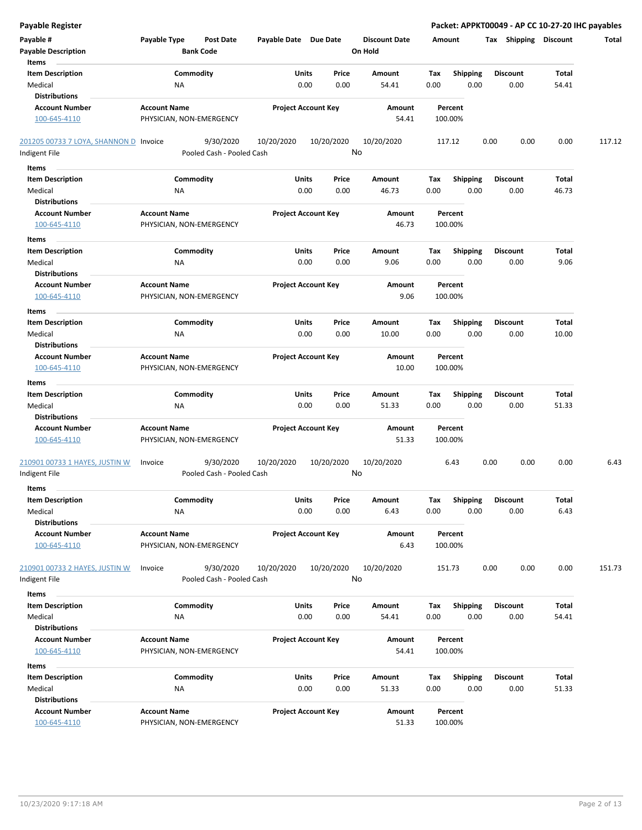| <b>Payable Register</b>                |                                  |                            |            |                      | Packet: APPKT00049 - AP CC 10-27-20 IHC payables |      |                 |                       |        |  |
|----------------------------------------|----------------------------------|----------------------------|------------|----------------------|--------------------------------------------------|------|-----------------|-----------------------|--------|--|
| Payable #                              | Payable Type<br><b>Post Date</b> | Payable Date Due Date      |            | <b>Discount Date</b> | Amount                                           |      |                 | Tax Shipping Discount | Total  |  |
| <b>Payable Description</b>             | <b>Bank Code</b>                 |                            |            | On Hold              |                                                  |      |                 |                       |        |  |
| Items                                  |                                  |                            |            |                      |                                                  |      |                 |                       |        |  |
| <b>Item Description</b>                | Commodity                        | Units                      | Price      | Amount               | Tax<br><b>Shipping</b>                           |      | <b>Discount</b> | Total                 |        |  |
| Medical                                | NA                               | 0.00                       | 0.00       | 54.41                | 0.00                                             | 0.00 | 0.00            | 54.41                 |        |  |
| <b>Distributions</b>                   |                                  |                            |            |                      |                                                  |      |                 |                       |        |  |
| <b>Account Number</b>                  | <b>Account Name</b>              | <b>Project Account Key</b> |            | Amount               | Percent                                          |      |                 |                       |        |  |
| 100-645-4110                           | PHYSICIAN, NON-EMERGENCY         |                            |            | 54.41                | 100.00%                                          |      |                 |                       |        |  |
| 201205 00733 7 LOYA, SHANNON D Invoice | 9/30/2020                        | 10/20/2020                 | 10/20/2020 | 10/20/2020           | 117.12                                           | 0.00 | 0.00            | 0.00                  | 117.12 |  |
| Indigent File                          | Pooled Cash - Pooled Cash        |                            | No         |                      |                                                  |      |                 |                       |        |  |
| Items                                  |                                  |                            |            |                      |                                                  |      |                 |                       |        |  |
| <b>Item Description</b>                | Commodity                        | Units                      | Price      | Amount               | <b>Shipping</b><br>Tax                           |      | <b>Discount</b> | Total                 |        |  |
| Medical                                | ΝA                               | 0.00                       | 0.00       | 46.73                | 0.00                                             | 0.00 | 0.00            | 46.73                 |        |  |
| <b>Distributions</b>                   |                                  |                            |            |                      |                                                  |      |                 |                       |        |  |
| <b>Account Number</b>                  | <b>Account Name</b>              | <b>Project Account Key</b> |            | Amount               | Percent                                          |      |                 |                       |        |  |
| 100-645-4110                           | PHYSICIAN, NON-EMERGENCY         |                            |            | 46.73                | 100.00%                                          |      |                 |                       |        |  |
| Items                                  |                                  |                            |            |                      |                                                  |      |                 |                       |        |  |
| <b>Item Description</b>                | Commodity                        | Units                      | Price      | Amount               | Tax<br><b>Shipping</b>                           |      | <b>Discount</b> | Total                 |        |  |
| Medical                                | ΝA                               | 0.00                       | 0.00       | 9.06                 | 0.00                                             | 0.00 | 0.00            | 9.06                  |        |  |
| <b>Distributions</b>                   |                                  |                            |            |                      |                                                  |      |                 |                       |        |  |
| <b>Account Number</b>                  | <b>Account Name</b>              | <b>Project Account Key</b> |            | <b>Amount</b>        | Percent                                          |      |                 |                       |        |  |
| 100-645-4110                           | PHYSICIAN, NON-EMERGENCY         |                            |            | 9.06                 | 100.00%                                          |      |                 |                       |        |  |
|                                        |                                  |                            |            |                      |                                                  |      |                 |                       |        |  |
| Items                                  |                                  |                            |            |                      |                                                  |      |                 |                       |        |  |
| <b>Item Description</b>                | Commodity                        | Units                      | Price      | Amount               | Tax<br><b>Shipping</b>                           |      | <b>Discount</b> | Total                 |        |  |
| Medical<br><b>Distributions</b>        | NA                               | 0.00                       | 0.00       | 10.00                | 0.00                                             | 0.00 | 0.00            | 10.00                 |        |  |
|                                        |                                  |                            |            |                      |                                                  |      |                 |                       |        |  |
| <b>Account Number</b>                  | <b>Account Name</b>              | <b>Project Account Key</b> |            | Amount<br>10.00      | Percent                                          |      |                 |                       |        |  |
| 100-645-4110                           | PHYSICIAN, NON-EMERGENCY         |                            |            |                      | 100.00%                                          |      |                 |                       |        |  |
| Items                                  |                                  |                            |            |                      |                                                  |      |                 |                       |        |  |
| <b>Item Description</b>                | Commodity                        | Units                      | Price      | Amount               | Tax<br><b>Shipping</b>                           |      | <b>Discount</b> | Total                 |        |  |
| Medical                                | NA                               | 0.00                       | 0.00       | 51.33                | 0.00                                             | 0.00 | 0.00            | 51.33                 |        |  |
| <b>Distributions</b>                   |                                  |                            |            |                      |                                                  |      |                 |                       |        |  |
| <b>Account Number</b>                  | <b>Account Name</b>              | <b>Project Account Key</b> |            | Amount               | Percent                                          |      |                 |                       |        |  |
| 100-645-4110                           | PHYSICIAN, NON-EMERGENCY         |                            |            | 51.33                | 100.00%                                          |      |                 |                       |        |  |
|                                        |                                  |                            |            |                      |                                                  |      |                 |                       |        |  |
| 210901 00733 1 HAYES, JUSTIN W         | 9/30/2020<br>Invoice             | 10/20/2020                 | 10/20/2020 | 10/20/2020           | 6.43                                             | 0.00 | 0.00            | 0.00                  | 6.43   |  |
| Indigent File                          | Pooled Cash - Pooled Cash        |                            | No         |                      |                                                  |      |                 |                       |        |  |
| <b>Items</b>                           |                                  |                            |            |                      |                                                  |      |                 |                       |        |  |
| <b>Item Description</b>                | Commodity                        | Units                      | Price      | Amount               | Shipping<br>Tax                                  |      | <b>Discount</b> | Total                 |        |  |
| Medical                                | NA                               | 0.00                       | 0.00       | 6.43                 | 0.00                                             | 0.00 | 0.00            | 6.43                  |        |  |
| <b>Distributions</b>                   |                                  |                            |            |                      |                                                  |      |                 |                       |        |  |
| <b>Account Number</b>                  | <b>Account Name</b>              | <b>Project Account Key</b> |            | Amount               | Percent                                          |      |                 |                       |        |  |
| 100-645-4110                           | PHYSICIAN, NON-EMERGENCY         |                            |            | 6.43                 | 100.00%                                          |      |                 |                       |        |  |
|                                        |                                  |                            |            |                      |                                                  |      |                 |                       |        |  |
| 210901 00733 2 HAYES, JUSTIN W         | 9/30/2020<br>Invoice             | 10/20/2020                 | 10/20/2020 | 10/20/2020           | 151.73                                           | 0.00 | 0.00            | 0.00                  | 151.73 |  |
| Indigent File                          | Pooled Cash - Pooled Cash        |                            | No         |                      |                                                  |      |                 |                       |        |  |
| Items                                  |                                  |                            |            |                      |                                                  |      |                 |                       |        |  |
| <b>Item Description</b>                | Commodity                        | Units                      | Price      | Amount               | <b>Shipping</b><br>Tax                           |      | <b>Discount</b> | Total                 |        |  |
| Medical                                | NA                               | 0.00                       | 0.00       | 54.41                | 0.00                                             | 0.00 | 0.00            | 54.41                 |        |  |
| <b>Distributions</b>                   |                                  |                            |            |                      |                                                  |      |                 |                       |        |  |
| <b>Account Number</b>                  | <b>Account Name</b>              | <b>Project Account Key</b> |            | Amount               | Percent                                          |      |                 |                       |        |  |
| 100-645-4110                           | PHYSICIAN, NON-EMERGENCY         |                            |            | 54.41                | 100.00%                                          |      |                 |                       |        |  |
|                                        |                                  |                            |            |                      |                                                  |      |                 |                       |        |  |
| Items                                  |                                  |                            |            |                      |                                                  |      |                 |                       |        |  |
| <b>Item Description</b>                | Commodity                        | Units                      | Price      | Amount               | Tax<br><b>Shipping</b>                           |      | <b>Discount</b> | Total                 |        |  |
| Medical                                | NA                               | 0.00                       | 0.00       | 51.33                | 0.00                                             | 0.00 | 0.00            | 51.33                 |        |  |
| <b>Distributions</b>                   |                                  |                            |            |                      |                                                  |      |                 |                       |        |  |
| <b>Account Number</b>                  | <b>Account Name</b>              | <b>Project Account Key</b> |            | Amount               | Percent                                          |      |                 |                       |        |  |
| 100-645-4110                           | PHYSICIAN, NON-EMERGENCY         |                            |            | 51.33                | 100.00%                                          |      |                 |                       |        |  |
|                                        |                                  |                            |            |                      |                                                  |      |                 |                       |        |  |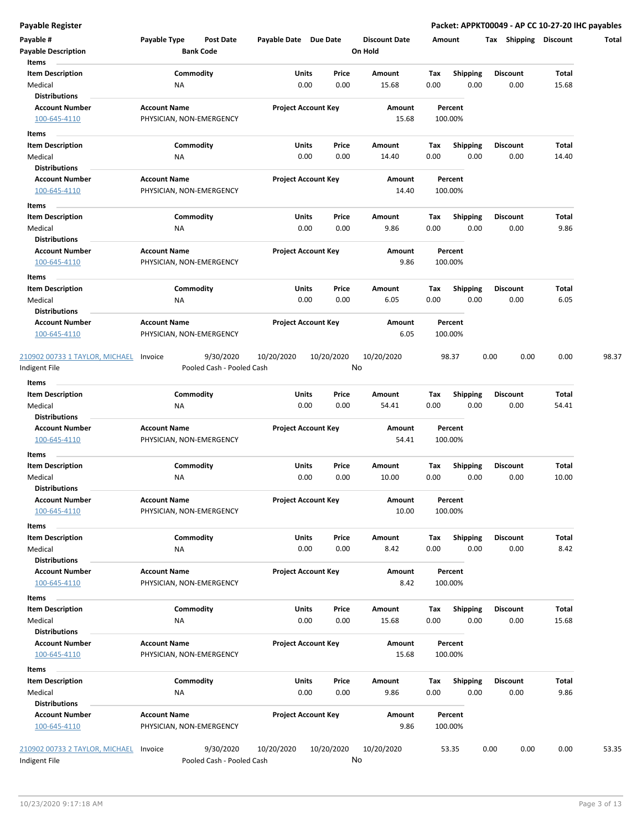**Payable Register Packet: APPKT00049 - AP CC 10-27-20 IHC payables**

| Payable #                                       | Payable Type             | Post Date                              | Payable Date Due Date |                            | <b>Discount Date</b> |      | Amount          | <b>Shipping</b><br>Tax | <b>Discount</b> | Total |
|-------------------------------------------------|--------------------------|----------------------------------------|-----------------------|----------------------------|----------------------|------|-----------------|------------------------|-----------------|-------|
| <b>Payable Description</b><br>Items             |                          | <b>Bank Code</b>                       |                       |                            | On Hold              |      |                 |                        |                 |       |
| <b>Item Description</b>                         |                          | Commodity                              |                       | Units<br>Price             | Amount               | Tax  | <b>Shipping</b> | <b>Discount</b>        | Total           |       |
| Medical                                         | ΝA                       |                                        |                       | 0.00<br>0.00               | 15.68                | 0.00 | 0.00            | 0.00                   | 15.68           |       |
| <b>Distributions</b>                            |                          |                                        |                       |                            |                      |      |                 |                        |                 |       |
| <b>Account Number</b>                           | <b>Account Name</b>      |                                        |                       | <b>Project Account Key</b> | Amount               |      | Percent         |                        |                 |       |
| 100-645-4110                                    | PHYSICIAN, NON-EMERGENCY |                                        |                       |                            | 15.68                |      | 100.00%         |                        |                 |       |
| Items                                           |                          |                                        |                       |                            |                      |      |                 |                        |                 |       |
| <b>Item Description</b>                         |                          | Commodity                              |                       | Units<br>Price             | Amount               | Тах  | <b>Shipping</b> | <b>Discount</b>        | Total           |       |
| Medical                                         | ΝA                       |                                        |                       | 0.00<br>0.00               | 14.40                | 0.00 | 0.00            | 0.00                   | 14.40           |       |
| <b>Distributions</b>                            |                          |                                        |                       |                            |                      |      |                 |                        |                 |       |
| <b>Account Number</b>                           | <b>Account Name</b>      |                                        |                       | <b>Project Account Key</b> | Amount               |      | Percent         |                        |                 |       |
| 100-645-4110                                    | PHYSICIAN, NON-EMERGENCY |                                        |                       |                            | 14.40                |      | 100.00%         |                        |                 |       |
| Items                                           |                          |                                        |                       |                            |                      |      |                 |                        |                 |       |
| <b>Item Description</b>                         |                          | Commodity                              | <b>Units</b>          | Price                      | Amount               | Tax  | <b>Shipping</b> | <b>Discount</b>        | Total           |       |
| Medical                                         | ΝA                       |                                        |                       | 0.00<br>0.00               | 9.86                 | 0.00 | 0.00            | 0.00                   | 9.86            |       |
| <b>Distributions</b>                            |                          |                                        |                       |                            |                      |      |                 |                        |                 |       |
| <b>Account Number</b>                           | <b>Account Name</b>      |                                        |                       | <b>Project Account Key</b> | Amount               |      | Percent         |                        |                 |       |
| 100-645-4110                                    | PHYSICIAN, NON-EMERGENCY |                                        |                       |                            | 9.86                 |      | 100.00%         |                        |                 |       |
|                                                 |                          |                                        |                       |                            |                      |      |                 |                        |                 |       |
| Items                                           |                          |                                        |                       |                            |                      |      |                 |                        |                 |       |
| <b>Item Description</b>                         |                          | Commodity                              | Units                 | Price                      | Amount               | Tax  | <b>Shipping</b> | <b>Discount</b>        | Total           |       |
| Medical                                         | <b>NA</b>                |                                        |                       | 0.00<br>0.00               | 6.05                 | 0.00 | 0.00            | 0.00                   | 6.05            |       |
| <b>Distributions</b>                            |                          |                                        |                       |                            |                      |      |                 |                        |                 |       |
| <b>Account Number</b>                           | <b>Account Name</b>      |                                        |                       | <b>Project Account Key</b> | Amount               |      | Percent         |                        |                 |       |
| 100-645-4110                                    | PHYSICIAN, NON-EMERGENCY |                                        |                       |                            | 6.05                 |      | 100.00%         |                        |                 |       |
| 210902 00733 1 TAYLOR, MICHAEL<br>Indigent File | Invoice                  | 9/30/2020<br>Pooled Cash - Pooled Cash | 10/20/2020            | 10/20/2020                 | 10/20/2020<br>No     |      | 98.37           | 0.00<br>0.00           | 0.00            | 98.37 |
| <b>Items</b>                                    |                          |                                        |                       |                            |                      |      |                 |                        |                 |       |
| <b>Item Description</b>                         |                          | Commodity                              |                       | Units<br>Price             | Amount               | Tax  | <b>Shipping</b> | <b>Discount</b>        | Total           |       |
| Medical                                         | ΝA                       |                                        |                       | 0.00<br>0.00               | 54.41                | 0.00 | 0.00            | 0.00                   | 54.41           |       |
| <b>Distributions</b>                            |                          |                                        |                       |                            |                      |      |                 |                        |                 |       |
| <b>Account Number</b>                           | <b>Account Name</b>      |                                        |                       | <b>Project Account Key</b> | Amount               |      | Percent         |                        |                 |       |
| 100-645-4110                                    | PHYSICIAN, NON-EMERGENCY |                                        |                       |                            | 54.41                |      | 100.00%         |                        |                 |       |
|                                                 |                          |                                        |                       |                            |                      |      |                 |                        |                 |       |
| Items                                           |                          |                                        |                       |                            |                      |      |                 |                        |                 |       |
| <b>Item Description</b>                         |                          | Commodity                              |                       | Units<br>Price             | Amount               | Tax  | <b>Shipping</b> | Discount               | Total           |       |
| Medical                                         | ΝA                       |                                        |                       | 0.00<br>0.00               | 10.00                | 0.00 | 0.00            | 0.00                   | 10.00           |       |
| <b>Distributions</b>                            |                          |                                        |                       |                            |                      |      |                 |                        |                 |       |
| Account Number                                  | <b>Account Name</b>      |                                        |                       | <b>Project Account Key</b> | Amount               |      | Percent         |                        |                 |       |
| 100-645-4110                                    | PHYSICIAN, NON-EMERGENCY |                                        |                       |                            | 10.00                |      | 100.00%         |                        |                 |       |
| Items                                           |                          |                                        |                       |                            |                      |      |                 |                        |                 |       |
| <b>Item Description</b>                         |                          | Commodity                              |                       | Units<br>Price             | Amount               | Tax  | <b>Shipping</b> | <b>Discount</b>        | Total           |       |
| Medical                                         | NA                       |                                        |                       | 0.00<br>0.00               | 8.42                 | 0.00 | 0.00            | 0.00                   | 8.42            |       |
| <b>Distributions</b>                            |                          |                                        |                       |                            |                      |      |                 |                        |                 |       |
| <b>Account Number</b>                           | <b>Account Name</b>      |                                        |                       | <b>Project Account Key</b> | Amount               |      | Percent         |                        |                 |       |
| 100-645-4110                                    | PHYSICIAN, NON-EMERGENCY |                                        |                       |                            | 8.42                 |      | 100.00%         |                        |                 |       |
|                                                 |                          |                                        |                       |                            |                      |      |                 |                        |                 |       |
| Items                                           |                          |                                        |                       |                            |                      |      |                 |                        |                 |       |
| <b>Item Description</b>                         |                          | Commodity                              |                       | Units<br>Price             | Amount               | Tax  | <b>Shipping</b> | <b>Discount</b>        | Total           |       |
| Medical                                         | <b>NA</b>                |                                        |                       | 0.00<br>0.00               | 15.68                | 0.00 | 0.00            | 0.00                   | 15.68           |       |
| <b>Distributions</b>                            |                          |                                        |                       |                            |                      |      |                 |                        |                 |       |
| <b>Account Number</b>                           | <b>Account Name</b>      |                                        |                       | <b>Project Account Key</b> | Amount               |      | Percent         |                        |                 |       |
| 100-645-4110                                    | PHYSICIAN, NON-EMERGENCY |                                        |                       |                            | 15.68                |      | 100.00%         |                        |                 |       |
| Items                                           |                          |                                        |                       |                            |                      |      |                 |                        |                 |       |
| <b>Item Description</b>                         |                          | Commodity                              |                       | Units<br>Price             | Amount               | Tax  | <b>Shipping</b> | <b>Discount</b>        | Total           |       |
| Medical                                         | <b>NA</b>                |                                        |                       | 0.00<br>0.00               | 9.86                 | 0.00 | 0.00            | 0.00                   | 9.86            |       |
| <b>Distributions</b>                            |                          |                                        |                       |                            |                      |      |                 |                        |                 |       |
| <b>Account Number</b>                           | <b>Account Name</b>      |                                        |                       | <b>Project Account Key</b> | Amount               |      | Percent         |                        |                 |       |
| 100-645-4110                                    | PHYSICIAN, NON-EMERGENCY |                                        |                       |                            | 9.86                 |      | 100.00%         |                        |                 |       |
|                                                 |                          |                                        |                       |                            |                      |      |                 |                        |                 |       |
| 210902 00733 2 TAYLOR, MICHAEL                  | Invoice                  | 9/30/2020                              | 10/20/2020            | 10/20/2020                 | 10/20/2020           |      | 53.35           | 0.00<br>0.00           | 0.00            | 53.35 |
| Indigent File                                   |                          | Pooled Cash - Pooled Cash              |                       |                            | No                   |      |                 |                        |                 |       |
|                                                 |                          |                                        |                       |                            |                      |      |                 |                        |                 |       |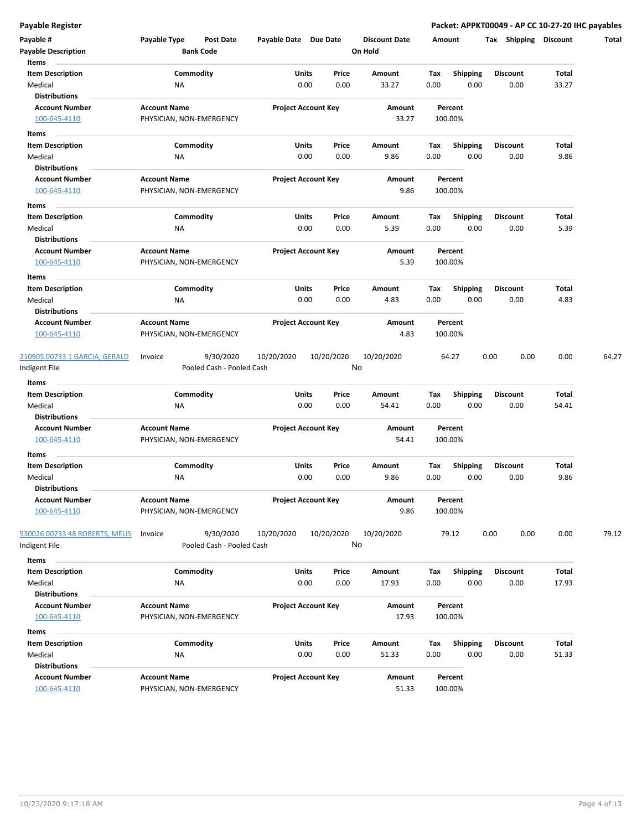**Payable Register Packet: APPKT00049 - AP CC 10-27-20 IHC payables**

| Payable #<br><b>Payable Description</b>       | Payable Type                                    | Post Date<br><b>Bank Code</b>          | Payable Date Due Date |                            | <b>Discount Date</b><br>On Hold | Amount |                    | Shipping<br>Tax | <b>Discount</b> |
|-----------------------------------------------|-------------------------------------------------|----------------------------------------|-----------------------|----------------------------|---------------------------------|--------|--------------------|-----------------|-----------------|
| Items                                         |                                                 |                                        |                       |                            |                                 |        |                    |                 |                 |
| <b>Item Description</b>                       |                                                 | Commodity                              | Units                 | Price                      | Amount                          | Тах    | <b>Shipping</b>    | <b>Discount</b> | Total           |
| Medical                                       | ΝA                                              |                                        | 0.00                  | 0.00                       | 33.27                           | 0.00   | 0.00               | 0.00            | 33.27           |
| <b>Distributions</b>                          |                                                 |                                        |                       |                            |                                 |        |                    |                 |                 |
| <b>Account Number</b><br>100-645-4110         | <b>Account Name</b><br>PHYSICIAN, NON-EMERGENCY |                                        |                       | <b>Project Account Key</b> | Amount<br>33.27                 |        | Percent<br>100.00% |                 |                 |
| Items                                         |                                                 |                                        |                       |                            |                                 |        |                    |                 |                 |
| <b>Item Description</b>                       |                                                 | Commodity                              | Units                 | Price                      | Amount                          | Tax    | <b>Shipping</b>    | <b>Discount</b> | Total           |
| Medical                                       | ΝA                                              |                                        | 0.00                  | 0.00                       | 9.86                            | 0.00   | 0.00               | 0.00            | 9.86            |
| <b>Distributions</b>                          |                                                 |                                        |                       |                            |                                 |        |                    |                 |                 |
| <b>Account Number</b>                         | <b>Account Name</b>                             |                                        |                       | <b>Project Account Key</b> | Amount                          |        | Percent            |                 |                 |
| 100-645-4110                                  | PHYSICIAN, NON-EMERGENCY                        |                                        |                       |                            | 9.86                            |        | 100.00%            |                 |                 |
| Items                                         |                                                 |                                        |                       |                            |                                 |        |                    |                 |                 |
| <b>Item Description</b>                       |                                                 | Commodity                              | Units                 | Price                      | Amount                          | Tax    | <b>Shipping</b>    | <b>Discount</b> | Total           |
| Medical                                       | ΝA                                              |                                        | 0.00                  | 0.00                       | 5.39                            | 0.00   | 0.00               | 0.00            | 5.39            |
| <b>Distributions</b>                          |                                                 |                                        |                       |                            |                                 |        |                    |                 |                 |
| <b>Account Number</b>                         | <b>Account Name</b>                             |                                        |                       | <b>Project Account Key</b> | Amount                          |        | Percent            |                 |                 |
| 100-645-4110                                  | PHYSICIAN, NON-EMERGENCY                        |                                        |                       |                            | 5.39                            |        | 100.00%            |                 |                 |
| Items                                         |                                                 |                                        |                       |                            |                                 |        |                    |                 |                 |
| <b>Item Description</b>                       |                                                 | Commodity                              | Units                 | Price                      | Amount                          | Tax    | <b>Shipping</b>    | <b>Discount</b> | Total           |
| Medical                                       | NA                                              |                                        | 0.00                  | 0.00                       | 4.83                            | 0.00   | 0.00               | 0.00            | 4.83            |
| <b>Distributions</b>                          |                                                 |                                        |                       |                            |                                 |        |                    |                 |                 |
| <b>Account Number</b>                         | <b>Account Name</b>                             |                                        |                       | <b>Project Account Key</b> | Amount                          |        | Percent            |                 |                 |
| 100-645-4110                                  | PHYSICIAN, NON-EMERGENCY                        |                                        |                       |                            | 4.83                            |        | 100.00%            |                 |                 |
| 210905 00733 1 GARCIA, GERALD<br>ndigent File | Invoice                                         | 9/30/2020<br>Pooled Cash - Pooled Cash | 10/20/2020            | 10/20/2020                 | 10/20/2020<br>No                |        | 64.27              | 0.00<br>0.00    | 0.00            |
| Items                                         |                                                 |                                        |                       |                            |                                 |        |                    |                 |                 |
| <b>Item Description</b>                       |                                                 | Commodity                              | <b>Units</b>          | Price                      | Amount                          | Tax    | Shipping           | <b>Discount</b> | Total           |
| Medical                                       | NA                                              |                                        | 0.00                  | 0.00                       | 54.41                           | 0.00   | 0.00               | 0.00            | 54.41           |
| <b>Distributions</b>                          |                                                 |                                        |                       |                            |                                 |        |                    |                 |                 |
| <b>Account Number</b>                         | <b>Account Name</b>                             |                                        |                       | <b>Project Account Key</b> | Amount                          |        | Percent            |                 |                 |
| 100-645-4110                                  | PHYSICIAN, NON-EMERGENCY                        |                                        |                       |                            | 54.41                           |        | 100.00%            |                 |                 |
| Items                                         |                                                 |                                        |                       |                            |                                 |        |                    |                 |                 |
| <b>Item Description</b>                       |                                                 | Commodity                              | <b>Units</b>          | Price                      | Amount                          | Tax    | <b>Shipping</b>    | <b>Discount</b> | Total           |
| Medical                                       | ΝA                                              |                                        | 0.00                  | 0.00                       | 9.86                            | 0.00   | 0.00               | 0.00            | 9.86            |
| <b>Distributions</b>                          |                                                 |                                        |                       |                            |                                 |        |                    |                 |                 |
| <b>Account Number</b>                         | <b>Account Name</b>                             |                                        |                       | <b>Project Account Key</b> | Amount                          |        | Percent            |                 |                 |
| 100-645-4110                                  | PHYSICIAN, NON-EMERGENCY                        |                                        |                       |                            | 9.86                            |        | 100.00%            |                 |                 |
| 930026 00733 48 ROBERTS, MELIS                | Invoice                                         | 9/30/2020                              | 10/20/2020            | 10/20/2020                 | 10/20/2020                      |        | 79.12              | 0.00<br>0.00    | 0.00            |
| Indigent File                                 |                                                 | Pooled Cash - Pooled Cash              |                       |                            | No                              |        |                    |                 |                 |
|                                               |                                                 |                                        |                       |                            |                                 |        |                    |                 |                 |
| Items<br><b>Item Description</b>              |                                                 | Commodity                              | Units                 | Price                      | Amount                          | Tax    | Shipping           | <b>Discount</b> | Total           |
| Medical                                       | <b>NA</b>                                       |                                        | 0.00                  | 0.00                       | 17.93                           | 0.00   | 0.00               | 0.00            | 17.93           |
| <b>Distributions</b>                          |                                                 |                                        |                       |                            |                                 |        |                    |                 |                 |
| <b>Account Number</b>                         | <b>Account Name</b>                             |                                        |                       | <b>Project Account Key</b> | Amount                          |        | Percent            |                 |                 |
| 100-645-4110                                  | PHYSICIAN, NON-EMERGENCY                        |                                        |                       |                            | 17.93                           |        | 100.00%            |                 |                 |
| Items                                         |                                                 |                                        |                       |                            |                                 |        |                    |                 |                 |
| <b>Item Description</b>                       |                                                 | Commodity                              | Units                 | Price                      | Amount                          | Тах    | <b>Shipping</b>    | <b>Discount</b> | Total           |
| Medical                                       | <b>NA</b>                                       |                                        | 0.00                  | 0.00                       | 51.33                           | 0.00   | 0.00               | 0.00            | 51.33           |
| <b>Distributions</b>                          |                                                 |                                        |                       |                            |                                 |        |                    |                 |                 |
|                                               |                                                 |                                        |                       |                            |                                 |        |                    |                 |                 |
| <b>Account Number</b>                         | <b>Account Name</b>                             |                                        |                       | <b>Project Account Key</b> | Amount                          |        | Percent            |                 |                 |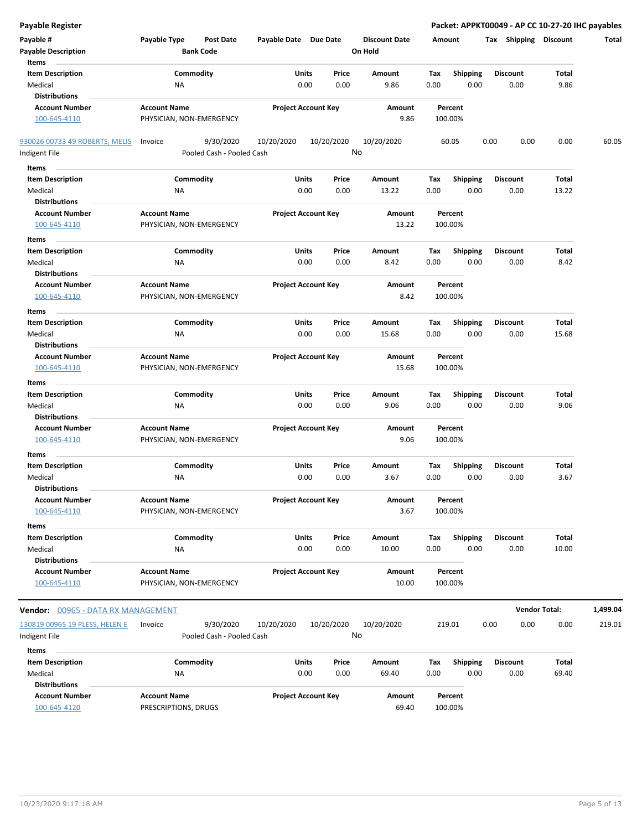| <b>Payable Register</b>                         |                          |                                        |                       |                            |                      |      | Packet: APPKT00049 - AP CC 10-27-20 IHC payables |                       |                      |          |  |
|-------------------------------------------------|--------------------------|----------------------------------------|-----------------------|----------------------------|----------------------|------|--------------------------------------------------|-----------------------|----------------------|----------|--|
| Payable #                                       | Payable Type             | <b>Post Date</b>                       | Payable Date Due Date |                            | <b>Discount Date</b> |      | Amount                                           | Tax Shipping Discount |                      | Total    |  |
| <b>Payable Description</b>                      |                          | <b>Bank Code</b>                       |                       |                            | On Hold              |      |                                                  |                       |                      |          |  |
| Items                                           |                          |                                        |                       |                            |                      |      |                                                  |                       |                      |          |  |
| <b>Item Description</b>                         | Commodity                |                                        | Units                 | Price                      | Amount               | Tax  | <b>Shipping</b>                                  | <b>Discount</b>       | Total                |          |  |
| Medical                                         | <b>NA</b>                |                                        |                       | 0.00<br>0.00               | 9.86                 | 0.00 | 0.00                                             | 0.00                  | 9.86                 |          |  |
| <b>Distributions</b>                            |                          |                                        |                       |                            |                      |      |                                                  |                       |                      |          |  |
| <b>Account Number</b>                           | <b>Account Name</b>      |                                        |                       | <b>Project Account Key</b> | Amount               |      | Percent                                          |                       |                      |          |  |
| 100-645-4110                                    | PHYSICIAN, NON-EMERGENCY |                                        |                       |                            | 9.86                 |      | 100.00%                                          |                       |                      |          |  |
|                                                 |                          |                                        |                       |                            |                      |      |                                                  |                       |                      |          |  |
| 930026 00733 49 ROBERTS, MELIS<br>Indigent File | Invoice                  | 9/30/2020<br>Pooled Cash - Pooled Cash | 10/20/2020            | 10/20/2020                 | 10/20/2020<br>No     |      | 60.05                                            | 0.00<br>0.00          | 0.00                 | 60.05    |  |
|                                                 |                          |                                        |                       |                            |                      |      |                                                  |                       |                      |          |  |
| Items                                           |                          |                                        |                       |                            |                      |      |                                                  |                       |                      |          |  |
| <b>Item Description</b>                         | Commodity                |                                        | Units                 | Price                      | Amount               | Tax  | <b>Shipping</b>                                  | <b>Discount</b>       | Total                |          |  |
| Medical                                         | ΝA                       |                                        |                       | 0.00<br>0.00               | 13.22                | 0.00 | 0.00                                             | 0.00                  | 13.22                |          |  |
| <b>Distributions</b>                            |                          |                                        |                       |                            |                      |      |                                                  |                       |                      |          |  |
| <b>Account Number</b>                           | <b>Account Name</b>      |                                        |                       | <b>Project Account Key</b> | Amount               |      | Percent                                          |                       |                      |          |  |
| 100-645-4110                                    | PHYSICIAN, NON-EMERGENCY |                                        |                       |                            | 13.22                |      | 100.00%                                          |                       |                      |          |  |
| Items                                           |                          |                                        |                       |                            |                      |      |                                                  |                       |                      |          |  |
| <b>Item Description</b>                         | Commodity                |                                        | Units                 | Price                      | Amount               | Tax  | <b>Shipping</b>                                  | <b>Discount</b>       | Total                |          |  |
| Medical                                         | <b>NA</b>                |                                        |                       | 0.00<br>0.00               | 8.42                 | 0.00 | 0.00                                             | 0.00                  | 8.42                 |          |  |
| <b>Distributions</b>                            |                          |                                        |                       |                            |                      |      |                                                  |                       |                      |          |  |
| <b>Account Number</b>                           | <b>Account Name</b>      |                                        |                       | <b>Project Account Key</b> | Amount               |      | Percent                                          |                       |                      |          |  |
| 100-645-4110                                    | PHYSICIAN, NON-EMERGENCY |                                        |                       |                            | 8.42                 |      | 100.00%                                          |                       |                      |          |  |
| Items                                           |                          |                                        |                       |                            |                      |      |                                                  |                       |                      |          |  |
| <b>Item Description</b>                         | Commodity                |                                        | Units                 | Price                      | Amount               | Tax  | Shipping                                         | <b>Discount</b>       | Total                |          |  |
| Medical                                         | <b>NA</b>                |                                        |                       | 0.00<br>0.00               | 15.68                | 0.00 | 0.00                                             | 0.00                  | 15.68                |          |  |
| <b>Distributions</b>                            |                          |                                        |                       |                            |                      |      |                                                  |                       |                      |          |  |
| <b>Account Number</b>                           | <b>Account Name</b>      |                                        |                       | <b>Project Account Key</b> | Amount               |      | Percent                                          |                       |                      |          |  |
| 100-645-4110                                    | PHYSICIAN, NON-EMERGENCY |                                        |                       |                            | 15.68                |      | 100.00%                                          |                       |                      |          |  |
| Items                                           |                          |                                        |                       |                            |                      |      |                                                  |                       |                      |          |  |
| <b>Item Description</b>                         | Commodity                |                                        | Units                 | Price                      | Amount               | Tax  | <b>Shipping</b>                                  | <b>Discount</b>       | Total                |          |  |
| Medical                                         | <b>NA</b>                |                                        |                       | 0.00<br>0.00               | 9.06                 | 0.00 | 0.00                                             | 0.00                  | 9.06                 |          |  |
| <b>Distributions</b>                            |                          |                                        |                       |                            |                      |      |                                                  |                       |                      |          |  |
| <b>Account Number</b>                           | <b>Account Name</b>      |                                        |                       | <b>Project Account Key</b> | Amount               |      | Percent                                          |                       |                      |          |  |
| 100-645-4110                                    | PHYSICIAN, NON-EMERGENCY |                                        |                       |                            | 9.06                 |      | 100.00%                                          |                       |                      |          |  |
| Items                                           |                          |                                        |                       |                            |                      |      |                                                  |                       |                      |          |  |
| <b>Item Description</b>                         | Commodity                |                                        | Units                 | Price                      | Amount               | Tax  | <b>Shipping</b>                                  | <b>Discount</b>       | Total                |          |  |
| Medical                                         | <b>NA</b>                |                                        |                       | 0.00<br>0.00               | 3.67                 | 0.00 | 0.00                                             | 0.00                  | 3.67                 |          |  |
| <b>Distributions</b>                            |                          |                                        |                       |                            |                      |      |                                                  |                       |                      |          |  |
| <b>Account Number</b>                           | <b>Account Name</b>      |                                        |                       | <b>Project Account Key</b> | Amount               |      | Percent                                          |                       |                      |          |  |
| 100-645-4110                                    | PHYSICIAN, NON-EMERGENCY |                                        |                       |                            | 3.67                 |      | 100.00%                                          |                       |                      |          |  |
| Items                                           |                          |                                        |                       |                            |                      |      |                                                  |                       |                      |          |  |
| <b>Item Description</b>                         | Commodity                |                                        | Units                 | Price                      | Amount               | Tax  | Shipping                                         | <b>Discount</b>       | Total                |          |  |
| Medical                                         | NA                       |                                        |                       | 0.00<br>0.00               | 10.00                | 0.00 | 0.00                                             | 0.00                  | 10.00                |          |  |
| <b>Distributions</b>                            |                          |                                        |                       |                            |                      |      |                                                  |                       |                      |          |  |
| <b>Account Number</b>                           | <b>Account Name</b>      |                                        |                       | <b>Project Account Key</b> | Amount               |      | Percent                                          |                       |                      |          |  |
| 100-645-4110                                    | PHYSICIAN, NON-EMERGENCY |                                        |                       |                            | 10.00                |      | 100.00%                                          |                       |                      |          |  |
| Vendor: 00965 - DATA RX MANAGEMENT              |                          |                                        |                       |                            |                      |      |                                                  |                       | <b>Vendor Total:</b> | 1,499.04 |  |
| 130819 00965 19 PLESS, HELEN E                  | Invoice                  | 9/30/2020                              | 10/20/2020            | 10/20/2020                 | 10/20/2020           |      | 219.01                                           | 0.00<br>0.00          | 0.00                 | 219.01   |  |
| Indigent File                                   |                          | Pooled Cash - Pooled Cash              |                       |                            | No                   |      |                                                  |                       |                      |          |  |
| Items                                           |                          |                                        |                       |                            |                      |      |                                                  |                       |                      |          |  |
| <b>Item Description</b>                         | Commodity                |                                        | Units                 | Price                      | Amount               | Tax  | Shipping                                         | <b>Discount</b>       | Total                |          |  |
| Medical                                         | NA                       |                                        |                       | 0.00<br>0.00               | 69.40                | 0.00 | 0.00                                             | 0.00                  | 69.40                |          |  |
| <b>Distributions</b>                            |                          |                                        |                       |                            |                      |      |                                                  |                       |                      |          |  |
| <b>Account Number</b>                           | <b>Account Name</b>      |                                        |                       | <b>Project Account Key</b> | Amount               |      | Percent                                          |                       |                      |          |  |
| 100-645-4120                                    | PRESCRIPTIONS, DRUGS     |                                        |                       |                            | 69.40                |      | 100.00%                                          |                       |                      |          |  |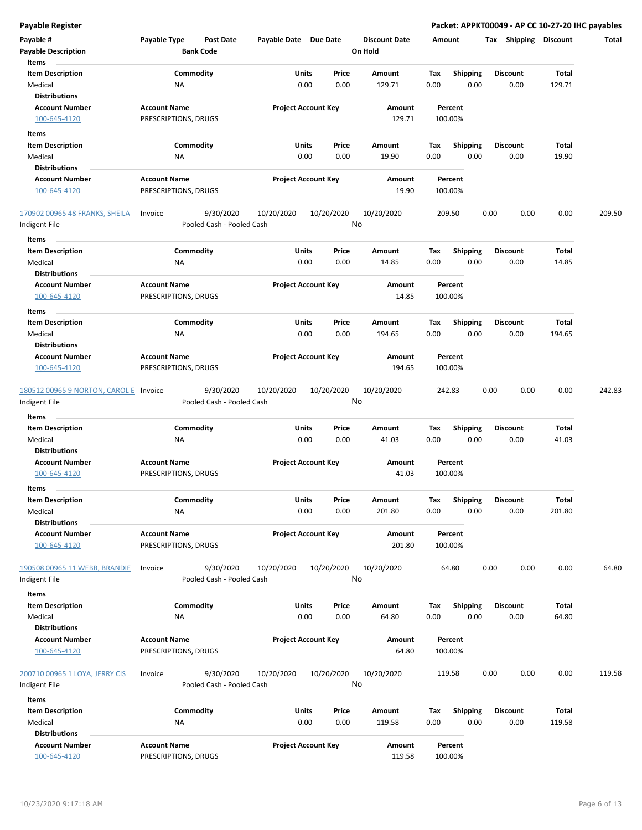|  | Payable Register |
|--|------------------|
|  |                  |

**Payable Register Packet: APPKT00049 - AP CC 10-27-20 IHC payables**

| Payable Register                                |                                                   |                            |                  |                      |                    |                  | Packet: APPKT00049 - AP CC 10-27-20 IHC payables |              |        |
|-------------------------------------------------|---------------------------------------------------|----------------------------|------------------|----------------------|--------------------|------------------|--------------------------------------------------|--------------|--------|
| Payable #                                       | <b>Payable Type</b><br><b>Post Date</b>           | Payable Date Due Date      |                  | <b>Discount Date</b> | Amount             |                  | Tax Shipping Discount                            |              | Total  |
| <b>Payable Description</b>                      | <b>Bank Code</b>                                  |                            |                  | On Hold              |                    |                  |                                                  |              |        |
| Items                                           |                                                   |                            |                  |                      |                    |                  |                                                  |              |        |
| <b>Item Description</b>                         | Commodity                                         | Units                      | Price            | Amount               | Tax                | Shipping         | <b>Discount</b>                                  | Total        |        |
| Medical                                         | <b>NA</b>                                         | 0.00                       | 0.00             | 129.71               | 0.00               | 0.00             | 0.00                                             | 129.71       |        |
| <b>Distributions</b>                            |                                                   |                            |                  |                      |                    |                  |                                                  |              |        |
| <b>Account Number</b>                           | <b>Account Name</b>                               | <b>Project Account Key</b> |                  | Amount               | Percent            |                  |                                                  |              |        |
| 100-645-4120                                    | PRESCRIPTIONS, DRUGS                              |                            |                  | 129.71               | 100.00%            |                  |                                                  |              |        |
|                                                 |                                                   |                            |                  |                      |                    |                  |                                                  |              |        |
| Items                                           |                                                   |                            |                  |                      |                    |                  |                                                  |              |        |
| <b>Item Description</b>                         | Commodity                                         | Units                      | Price            | Amount               | Tax                | <b>Shipping</b>  | <b>Discount</b>                                  | Total        |        |
| Medical                                         | ΝA                                                | 0.00                       | 0.00             | 19.90                | 0.00               | 0.00             | 0.00                                             | 19.90        |        |
| <b>Distributions</b>                            |                                                   |                            |                  |                      |                    |                  |                                                  |              |        |
| <b>Account Number</b>                           | <b>Account Name</b>                               | <b>Project Account Key</b> |                  | Amount               | Percent            |                  |                                                  |              |        |
| 100-645-4120                                    | PRESCRIPTIONS, DRUGS                              |                            |                  | 19.90                | 100.00%            |                  |                                                  |              |        |
| 170902 00965 48 FRANKS, SHEILA<br>Indigent File | 9/30/2020<br>Invoice<br>Pooled Cash - Pooled Cash | 10/20/2020                 | 10/20/2020<br>No | 10/20/2020           | 209.50             |                  | 0.00<br>0.00                                     | 0.00         | 209.50 |
| Items                                           |                                                   |                            |                  |                      |                    |                  |                                                  |              |        |
| <b>Item Description</b>                         | Commodity                                         | Units                      | Price            | Amount               | Tax                | <b>Shipping</b>  | <b>Discount</b>                                  | Total        |        |
| Medical                                         | ΝA                                                | 0.00                       | 0.00             | 14.85                | 0.00               | 0.00             | 0.00                                             | 14.85        |        |
| <b>Distributions</b>                            |                                                   |                            |                  |                      |                    |                  |                                                  |              |        |
| <b>Account Number</b>                           | <b>Account Name</b>                               | <b>Project Account Key</b> |                  | Amount               | Percent            |                  |                                                  |              |        |
| 100-645-4120                                    | PRESCRIPTIONS, DRUGS                              |                            |                  | 14.85                | 100.00%            |                  |                                                  |              |        |
| Items                                           |                                                   |                            |                  |                      |                    |                  |                                                  |              |        |
| <b>Item Description</b>                         | Commodity                                         | Units                      | Price            | Amount               | Tax                | Shipping         | <b>Discount</b>                                  | Total        |        |
| Medical                                         | NA                                                | 0.00                       | 0.00             | 194.65               | 0.00               | 0.00             | 0.00                                             | 194.65       |        |
| <b>Distributions</b>                            |                                                   |                            |                  |                      |                    |                  |                                                  |              |        |
| <b>Account Number</b>                           | <b>Account Name</b>                               | <b>Project Account Key</b> |                  | Amount               | Percent            |                  |                                                  |              |        |
| 100-645-4120                                    | PRESCRIPTIONS, DRUGS                              |                            |                  | 194.65               | 100.00%            |                  |                                                  |              |        |
|                                                 |                                                   |                            |                  |                      |                    |                  |                                                  |              |        |
| 180512 00965 9 NORTON, CAROL E Invoice          | 9/30/2020                                         | 10/20/2020                 | 10/20/2020       | 10/20/2020           | 242.83             |                  | 0.00<br>0.00                                     | 0.00         | 242.83 |
| Indigent File                                   | Pooled Cash - Pooled Cash                         |                            | No               |                      |                    |                  |                                                  |              |        |
| Items                                           |                                                   |                            |                  |                      |                    |                  |                                                  |              |        |
| <b>Item Description</b>                         | Commodity                                         | Units                      | Price            | Amount               | Tax                | <b>Shipping</b>  | <b>Discount</b>                                  | <b>Total</b> |        |
| Medical                                         | ΝA                                                | 0.00                       | 0.00             | 41.03                | 0.00               | 0.00             | 0.00                                             | 41.03        |        |
| <b>Distributions</b>                            |                                                   |                            |                  |                      |                    |                  |                                                  |              |        |
| <b>Account Number</b>                           | <b>Account Name</b>                               | <b>Project Account Key</b> |                  | Amount               | Percent            |                  |                                                  |              |        |
| 100-645-4120                                    | PRESCRIPTIONS, DRUGS                              |                            |                  | 41.03                | 100.00%            |                  |                                                  |              |        |
|                                                 |                                                   |                            |                  |                      |                    |                  |                                                  |              |        |
| Items<br><b>Item Description</b>                |                                                   |                            |                  |                      |                    |                  |                                                  |              |        |
| Medical                                         | Commodity                                         | <b>Units</b>               | Price            | Amount               | Tax<br>0.00        | Shipping<br>0.00 | <b>Discount</b>                                  | Total        |        |
| <b>Distributions</b>                            | NA                                                | 0.00                       | 0.00             | 201.80               |                    |                  | 0.00                                             | 201.80       |        |
| <b>Account Number</b>                           | <b>Account Name</b>                               | <b>Project Account Key</b> |                  |                      |                    |                  |                                                  |              |        |
| 100-645-4120                                    | PRESCRIPTIONS, DRUGS                              |                            |                  | Amount<br>201.80     | Percent<br>100.00% |                  |                                                  |              |        |
|                                                 |                                                   |                            |                  |                      |                    |                  |                                                  |              |        |
| 190508 00965 11 WEBB, BRANDIE                   | 9/30/2020<br>Invoice                              | 10/20/2020                 | 10/20/2020       | 10/20/2020           | 64.80              |                  | 0.00<br>0.00                                     | 0.00         | 64.80  |
| Indigent File                                   | Pooled Cash - Pooled Cash                         |                            | No               |                      |                    |                  |                                                  |              |        |
|                                                 |                                                   |                            |                  |                      |                    |                  |                                                  |              |        |
| Items                                           |                                                   |                            |                  |                      |                    |                  |                                                  |              |        |
| <b>Item Description</b>                         | Commodity                                         | Units                      | Price            | Amount               | Tax                | <b>Shipping</b>  | <b>Discount</b>                                  | Total        |        |
| Medical                                         | NA                                                | 0.00                       | 0.00             | 64.80                | 0.00               | 0.00             | 0.00                                             | 64.80        |        |
| <b>Distributions</b>                            |                                                   |                            |                  |                      |                    |                  |                                                  |              |        |
| <b>Account Number</b>                           | <b>Account Name</b>                               | <b>Project Account Key</b> |                  | Amount               | Percent            |                  |                                                  |              |        |
| 100-645-4120                                    | PRESCRIPTIONS, DRUGS                              |                            |                  | 64.80                | 100.00%            |                  |                                                  |              |        |
|                                                 |                                                   |                            |                  |                      |                    |                  |                                                  |              |        |
| 200710 00965 1 LOYA, JERRY CIS                  | 9/30/2020<br>Invoice                              | 10/20/2020                 | 10/20/2020       | 10/20/2020           | 119.58             |                  | 0.00<br>0.00                                     | 0.00         | 119.58 |
| Indigent File                                   | Pooled Cash - Pooled Cash                         |                            | No               |                      |                    |                  |                                                  |              |        |
| Items                                           |                                                   |                            |                  |                      |                    |                  |                                                  |              |        |
| <b>Item Description</b>                         | Commodity                                         | <b>Units</b>               | Price            | Amount               | Tax                | <b>Shipping</b>  | <b>Discount</b>                                  | Total        |        |
| Medical                                         | ΝA                                                | 0.00                       | 0.00             | 119.58               | 0.00               | 0.00             | 0.00                                             | 119.58       |        |
| <b>Distributions</b>                            |                                                   |                            |                  |                      |                    |                  |                                                  |              |        |
| <b>Account Number</b>                           | <b>Account Name</b>                               | <b>Project Account Key</b> |                  | Amount               | Percent            |                  |                                                  |              |        |
| 100-645-4120                                    | PRESCRIPTIONS, DRUGS                              |                            |                  | 119.58               | 100.00%            |                  |                                                  |              |        |
|                                                 |                                                   |                            |                  |                      |                    |                  |                                                  |              |        |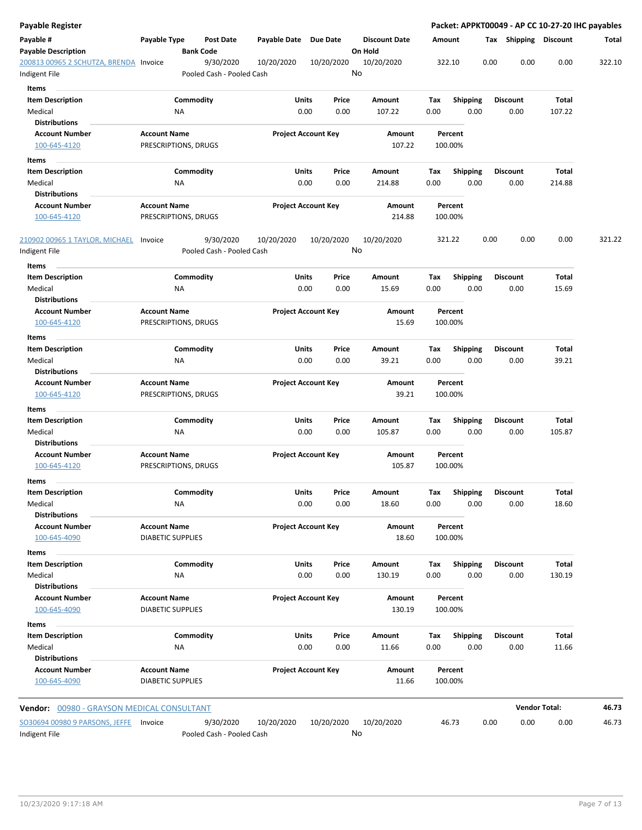| Payable Register                                        |                                                 |                                        |                       |                            |                                 |             |                         |                  |                       | Packet: APPKT00049 - AP CC 10-27-20 IHC payables |
|---------------------------------------------------------|-------------------------------------------------|----------------------------------------|-----------------------|----------------------------|---------------------------------|-------------|-------------------------|------------------|-----------------------|--------------------------------------------------|
| Payable #<br><b>Payable Description</b>                 | Payable Type                                    | <b>Post Date</b><br><b>Bank Code</b>   | Payable Date Due Date |                            | <b>Discount Date</b><br>On Hold |             | Amount                  |                  | Tax Shipping Discount | Total                                            |
| 200813 00965 2 SCHUTZA, BRENDA Invoice<br>Indigent File |                                                 | 9/30/2020<br>Pooled Cash - Pooled Cash | 10/20/2020            | 10/20/2020                 | 10/20/2020<br>No                |             | 322.10                  | 0.00             | 0.00                  | 0.00<br>322.10                                   |
| Items                                                   |                                                 |                                        |                       |                            |                                 |             |                         |                  |                       |                                                  |
| <b>Item Description</b><br>Medical                      | Commodity<br>ΝA                                 |                                        | Units                 | Price<br>0.00<br>0.00      | Amount<br>107.22                | Tax<br>0.00 | <b>Shipping</b><br>0.00 | Discount<br>0.00 | Total<br>107.22       |                                                  |
| <b>Distributions</b>                                    |                                                 |                                        |                       |                            |                                 |             |                         |                  |                       |                                                  |
| <b>Account Number</b><br>100-645-4120                   | <b>Account Name</b><br>PRESCRIPTIONS, DRUGS     |                                        |                       | <b>Project Account Key</b> | Amount<br>107.22                |             | Percent<br>100.00%      |                  |                       |                                                  |
|                                                         |                                                 |                                        |                       |                            |                                 |             |                         |                  |                       |                                                  |
| Items<br><b>Item Description</b>                        | Commodity                                       |                                        | Units                 | Price                      | Amount                          | Tax         | <b>Shipping</b>         | <b>Discount</b>  | Total                 |                                                  |
| Medical                                                 | NA                                              |                                        |                       | 0.00<br>0.00               | 214.88                          | 0.00        | 0.00                    | 0.00             | 214.88                |                                                  |
| <b>Distributions</b>                                    |                                                 |                                        |                       |                            |                                 |             |                         |                  |                       |                                                  |
| <b>Account Number</b><br>100-645-4120                   | <b>Account Name</b><br>PRESCRIPTIONS, DRUGS     |                                        |                       | <b>Project Account Key</b> | Amount<br>214.88                |             | Percent<br>100.00%      |                  |                       |                                                  |
| 210902 00965 1 TAYLOR, MICHAEL<br>Indigent File         | Invoice                                         | 9/30/2020<br>Pooled Cash - Pooled Cash | 10/20/2020            | 10/20/2020                 | 10/20/2020<br>No                |             | 321.22                  | 0.00             | 0.00                  | 0.00<br>321.22                                   |
| Items                                                   |                                                 |                                        |                       |                            |                                 |             |                         |                  |                       |                                                  |
| <b>Item Description</b>                                 | Commodity                                       |                                        | <b>Units</b>          | Price                      | Amount                          | Tax         | <b>Shipping</b>         | Discount         | Total                 |                                                  |
| Medical                                                 | <b>NA</b>                                       |                                        | 0.00                  | 0.00                       | 15.69                           | 0.00        | 0.00                    | 0.00             | 15.69                 |                                                  |
| <b>Distributions</b>                                    |                                                 |                                        |                       |                            |                                 |             |                         |                  |                       |                                                  |
| <b>Account Number</b>                                   | <b>Account Name</b>                             |                                        |                       | <b>Project Account Key</b> | Amount                          |             | Percent                 |                  |                       |                                                  |
| 100-645-4120                                            | PRESCRIPTIONS, DRUGS                            |                                        |                       |                            | 15.69                           |             | 100.00%                 |                  |                       |                                                  |
| Items                                                   |                                                 |                                        |                       |                            |                                 |             |                         |                  |                       |                                                  |
| <b>Item Description</b>                                 | Commodity                                       |                                        | Units                 | Price                      | Amount                          | Tax         | <b>Shipping</b>         | Discount         | Total                 |                                                  |
| Medical<br><b>Distributions</b>                         | <b>NA</b>                                       |                                        |                       | 0.00<br>0.00               | 39.21                           | 0.00        | 0.00                    | 0.00             | 39.21                 |                                                  |
| <b>Account Number</b>                                   | <b>Account Name</b>                             |                                        |                       | <b>Project Account Key</b> | Amount                          |             | Percent                 |                  |                       |                                                  |
| 100-645-4120                                            | PRESCRIPTIONS, DRUGS                            |                                        |                       |                            | 39.21                           |             | 100.00%                 |                  |                       |                                                  |
| Items                                                   |                                                 |                                        |                       |                            |                                 |             |                         |                  |                       |                                                  |
| <b>Item Description</b>                                 | Commodity                                       |                                        | Units                 | Price                      | Amount                          | Tax         | <b>Shipping</b>         | Discount         | Total                 |                                                  |
| Medical                                                 | ΝA                                              |                                        | 0.00                  | 0.00                       | 105.87                          | 0.00        | 0.00                    | 0.00             | 105.87                |                                                  |
| <b>Distributions</b>                                    |                                                 |                                        |                       |                            |                                 |             |                         |                  |                       |                                                  |
| <b>Account Number</b>                                   | <b>Account Name</b>                             |                                        |                       | <b>Project Account Key</b> | Amount                          |             | Percent                 |                  |                       |                                                  |
| 100-645-4120                                            | PRESCRIPTIONS, DRUGS                            |                                        |                       |                            | 105.87                          |             | 100.00%                 |                  |                       |                                                  |
| Items                                                   |                                                 |                                        |                       |                            |                                 |             |                         |                  |                       |                                                  |
| <b>Item Description</b>                                 | Commodity                                       |                                        | Units                 | Price                      | Amount                          | Tax         | Shipping                | <b>Discount</b>  | Total                 |                                                  |
| Medical                                                 | NA                                              |                                        |                       | 0.00<br>0.00               | 18.60                           | 0.00        | 0.00                    | 0.00             | 18.60                 |                                                  |
| <b>Distributions</b><br><b>Account Number</b>           | <b>Account Name</b>                             |                                        |                       | <b>Project Account Key</b> | Amount                          |             | Percent                 |                  |                       |                                                  |
| 100-645-4090                                            | <b>DIABETIC SUPPLIES</b>                        |                                        |                       |                            | 18.60                           |             | 100.00%                 |                  |                       |                                                  |
| Items                                                   |                                                 |                                        |                       |                            |                                 |             |                         |                  |                       |                                                  |
| <b>Item Description</b>                                 | Commodity                                       |                                        | <b>Units</b>          | Price                      | Amount                          | Tax         | <b>Shipping</b>         | <b>Discount</b>  | Total                 |                                                  |
| Medical<br><b>Distributions</b>                         | NA                                              |                                        |                       | 0.00<br>0.00               | 130.19                          | 0.00        | 0.00                    | 0.00             | 130.19                |                                                  |
| <b>Account Number</b><br>100-645-4090                   | <b>Account Name</b><br><b>DIABETIC SUPPLIES</b> |                                        |                       | <b>Project Account Key</b> | Amount<br>130.19                |             | Percent<br>100.00%      |                  |                       |                                                  |
| Items                                                   |                                                 |                                        |                       |                            |                                 |             |                         |                  |                       |                                                  |
| <b>Item Description</b>                                 | Commodity                                       |                                        | <b>Units</b>          | Price                      | Amount                          | Tax         | Shipping                | <b>Discount</b>  | Total                 |                                                  |
| Medical                                                 | <b>NA</b>                                       |                                        |                       | 0.00<br>0.00               | 11.66                           | 0.00        | 0.00                    | 0.00             | 11.66                 |                                                  |
| <b>Distributions</b>                                    |                                                 |                                        |                       |                            |                                 |             |                         |                  |                       |                                                  |
| <b>Account Number</b><br>100-645-4090                   | <b>Account Name</b><br><b>DIABETIC SUPPLIES</b> |                                        |                       | <b>Project Account Key</b> | Amount<br>11.66                 |             | Percent<br>100.00%      |                  |                       |                                                  |
| <b>Vendor:</b> 00980 - GRAYSON MEDICAL CONSULTANT       |                                                 |                                        |                       |                            |                                 |             |                         |                  | <b>Vendor Total:</b>  | 46.73                                            |
| SO30694 00980 9 PARSONS, JEFFE                          | Invoice                                         | 9/30/2020                              | 10/20/2020            | 10/20/2020                 | 10/20/2020                      |             | 46.73                   | 0.00             | 0.00                  | 0.00<br>46.73                                    |
| Indigent File                                           |                                                 | Pooled Cash - Pooled Cash              |                       |                            | No                              |             |                         |                  |                       |                                                  |

 $\overline{a}$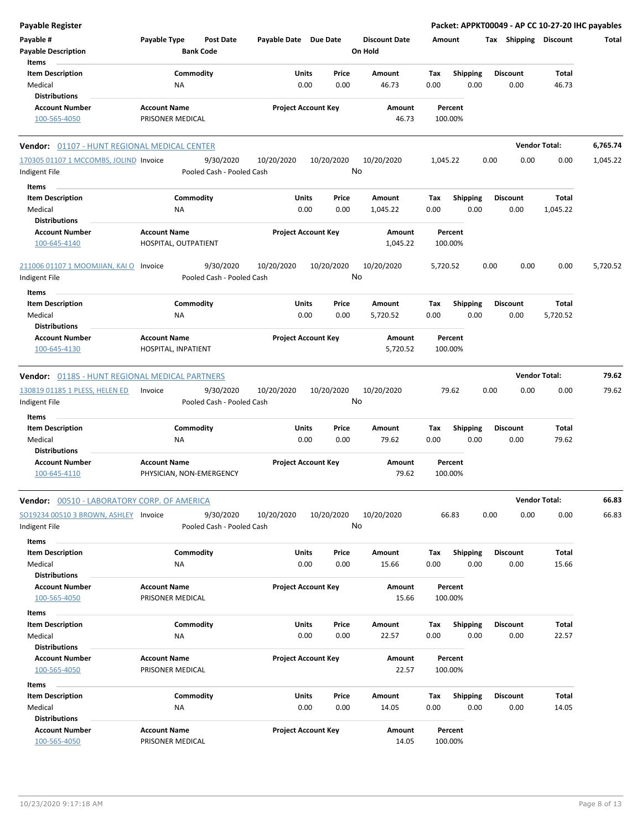| <b>Payable Register</b>                               |                                             |                           |                       |                            |                      |          |                    |      |                 | Packet: APPKT00049 - AP CC 10-27-20 IHC payables |          |
|-------------------------------------------------------|---------------------------------------------|---------------------------|-----------------------|----------------------------|----------------------|----------|--------------------|------|-----------------|--------------------------------------------------|----------|
| Payable #                                             | Payable Type                                | <b>Post Date</b>          | Payable Date Due Date |                            | <b>Discount Date</b> |          | Amount             |      |                 | Tax Shipping Discount                            | Total    |
| <b>Payable Description</b>                            |                                             | <b>Bank Code</b>          |                       |                            | On Hold              |          |                    |      |                 |                                                  |          |
| Items                                                 |                                             |                           |                       |                            |                      |          |                    |      |                 |                                                  |          |
| <b>Item Description</b>                               |                                             | Commodity                 |                       | Units<br>Price             | Amount               | Tax      | <b>Shipping</b>    |      | <b>Discount</b> | <b>Total</b>                                     |          |
| Medical                                               | NA                                          |                           |                       | 0.00<br>0.00               | 46.73                | 0.00     | 0.00               |      | 0.00            | 46.73                                            |          |
| <b>Distributions</b>                                  |                                             |                           |                       |                            |                      |          |                    |      |                 |                                                  |          |
| <b>Account Number</b>                                 | <b>Account Name</b>                         |                           |                       | <b>Project Account Key</b> | Amount               |          | Percent            |      |                 |                                                  |          |
| 100-565-4050                                          | PRISONER MEDICAL                            |                           |                       |                            | 46.73                |          | 100.00%            |      |                 |                                                  |          |
| Vendor: 01107 - HUNT REGIONAL MEDICAL CENTER          |                                             |                           |                       |                            |                      |          |                    |      |                 | <b>Vendor Total:</b>                             | 6,765.74 |
| 170305 01107 1 MCCOMBS, JOLIND Invoice                |                                             | 9/30/2020                 | 10/20/2020            | 10/20/2020                 | 10/20/2020           | 1,045.22 |                    | 0.00 | 0.00            | 0.00                                             | 1,045.22 |
| Indigent File                                         |                                             | Pooled Cash - Pooled Cash |                       |                            | No                   |          |                    |      |                 |                                                  |          |
|                                                       |                                             |                           |                       |                            |                      |          |                    |      |                 |                                                  |          |
| Items                                                 |                                             |                           |                       |                            |                      |          |                    |      |                 |                                                  |          |
| <b>Item Description</b>                               |                                             | Commodity                 | Units                 | Price                      | Amount               | Tax      | <b>Shipping</b>    |      | <b>Discount</b> | <b>Total</b>                                     |          |
| Medical                                               | ΝA                                          |                           |                       | 0.00<br>0.00               | 1,045.22             | 0.00     | 0.00               |      | 0.00            | 1,045.22                                         |          |
| <b>Distributions</b>                                  |                                             |                           |                       |                            |                      |          |                    |      |                 |                                                  |          |
| <b>Account Number</b><br>100-645-4140                 | <b>Account Name</b><br>HOSPITAL, OUTPATIENT |                           |                       | <b>Project Account Key</b> | Amount<br>1,045.22   |          | Percent<br>100.00% |      |                 |                                                  |          |
|                                                       |                                             |                           |                       |                            |                      |          |                    |      |                 |                                                  |          |
| 211006 01107 1 MOOMJIAN, KAI O Invoice                |                                             | 9/30/2020                 | 10/20/2020            | 10/20/2020                 | 10/20/2020<br>No     | 5,720.52 |                    | 0.00 | 0.00            | 0.00                                             | 5,720.52 |
| Indigent File                                         |                                             | Pooled Cash - Pooled Cash |                       |                            |                      |          |                    |      |                 |                                                  |          |
| Items                                                 |                                             |                           |                       |                            |                      |          |                    |      |                 |                                                  |          |
| <b>Item Description</b>                               |                                             | Commodity                 |                       | Units<br>Price             | Amount               | Tax      | <b>Shipping</b>    |      | <b>Discount</b> | Total                                            |          |
| Medical                                               | ΝA                                          |                           |                       | 0.00<br>0.00               | 5,720.52             | 0.00     | 0.00               |      | 0.00            | 5,720.52                                         |          |
| <b>Distributions</b>                                  |                                             |                           |                       |                            |                      |          |                    |      |                 |                                                  |          |
| <b>Account Number</b>                                 | <b>Account Name</b>                         |                           |                       | <b>Project Account Key</b> | Amount               |          | Percent            |      |                 |                                                  |          |
| 100-645-4130                                          | HOSPITAL, INPATIENT                         |                           |                       |                            | 5,720.52             |          | 100.00%            |      |                 |                                                  |          |
| <b>Vendor: 01185 - HUNT REGIONAL MEDICAL PARTNERS</b> |                                             |                           |                       |                            |                      |          |                    |      |                 | <b>Vendor Total:</b>                             | 79.62    |
|                                                       |                                             |                           |                       |                            |                      |          |                    |      |                 |                                                  |          |
| 130819 01185 1 PLESS, HELEN ED                        | Invoice                                     | 9/30/2020                 | 10/20/2020            | 10/20/2020                 | 10/20/2020           |          | 79.62              | 0.00 | 0.00            | 0.00                                             | 79.62    |
| Indigent File                                         |                                             | Pooled Cash - Pooled Cash |                       |                            | No                   |          |                    |      |                 |                                                  |          |
| <b>Items</b>                                          |                                             |                           |                       |                            |                      |          |                    |      |                 |                                                  |          |
| <b>Item Description</b>                               |                                             | Commodity                 |                       | Units<br>Price             | Amount               | Tax      | Shipping           |      | <b>Discount</b> | Total                                            |          |
| Medical                                               | NA                                          |                           |                       | 0.00<br>0.00               | 79.62                | 0.00     | 0.00               |      | 0.00            | 79.62                                            |          |
| <b>Distributions</b>                                  |                                             |                           |                       |                            |                      |          |                    |      |                 |                                                  |          |
| <b>Account Number</b>                                 | <b>Account Name</b>                         |                           |                       | <b>Project Account Key</b> | Amount               |          | Percent            |      |                 |                                                  |          |
| 100-645-4110                                          | PHYSICIAN, NON-EMERGENCY                    |                           |                       |                            | 79.62                |          | 100.00%            |      |                 |                                                  |          |
| <b>Vendor: 00510 - LABORATORY CORP. OF AMERICA</b>    |                                             |                           |                       |                            |                      |          |                    |      |                 | <b>Vendor Total:</b>                             | 66.83    |
| SO19234 00510 3 BROWN, ASHLEY Invoice                 |                                             | 9/30/2020                 | 10/20/2020            | 10/20/2020                 | 10/20/2020           |          | 66.83              | 0.00 | 0.00            | 0.00                                             | 66.83    |
| Indigent File                                         |                                             | Pooled Cash - Pooled Cash |                       |                            | No                   |          |                    |      |                 |                                                  |          |
|                                                       |                                             |                           |                       |                            |                      |          |                    |      |                 |                                                  |          |
| Items                                                 |                                             |                           |                       |                            |                      |          |                    |      |                 |                                                  |          |
| <b>Item Description</b>                               |                                             | Commodity                 |                       | Units<br>Price             | Amount               | Tax      | <b>Shipping</b>    |      | <b>Discount</b> | Total                                            |          |
| Medical                                               | NA                                          |                           |                       | 0.00<br>0.00               | 15.66                | 0.00     | 0.00               |      | 0.00            | 15.66                                            |          |
| <b>Distributions</b>                                  |                                             |                           |                       |                            |                      |          |                    |      |                 |                                                  |          |
| <b>Account Number</b>                                 | <b>Account Name</b>                         |                           |                       | <b>Project Account Key</b> | Amount               |          | Percent            |      |                 |                                                  |          |
| 100-565-4050                                          | PRISONER MEDICAL                            |                           |                       |                            | 15.66                |          | 100.00%            |      |                 |                                                  |          |
| Items                                                 |                                             |                           |                       |                            |                      |          |                    |      |                 |                                                  |          |
| <b>Item Description</b>                               |                                             | Commodity                 |                       | Units<br>Price             | Amount               | Тах      | <b>Shipping</b>    |      | <b>Discount</b> | Total                                            |          |
| Medical                                               | NA                                          |                           |                       | 0.00<br>0.00               | 22.57                | 0.00     | 0.00               |      | 0.00            | 22.57                                            |          |
| <b>Distributions</b>                                  |                                             |                           |                       |                            |                      |          |                    |      |                 |                                                  |          |
| <b>Account Number</b>                                 | <b>Account Name</b>                         |                           |                       | <b>Project Account Key</b> | Amount               |          | Percent            |      |                 |                                                  |          |
| 100-565-4050                                          | PRISONER MEDICAL                            |                           |                       |                            | 22.57                |          | 100.00%            |      |                 |                                                  |          |
|                                                       |                                             |                           |                       |                            |                      |          |                    |      |                 |                                                  |          |
| Items                                                 |                                             |                           |                       |                            |                      |          |                    |      |                 |                                                  |          |
| <b>Item Description</b>                               |                                             | Commodity                 |                       | Units<br>Price             | Amount               | Tax      | <b>Shipping</b>    |      | <b>Discount</b> | Total                                            |          |
| Medical                                               | NA                                          |                           |                       | 0.00<br>0.00               | 14.05                | 0.00     | 0.00               |      | 0.00            | 14.05                                            |          |
| <b>Distributions</b>                                  |                                             |                           |                       |                            |                      |          |                    |      |                 |                                                  |          |
| <b>Account Number</b>                                 | <b>Account Name</b>                         |                           |                       | <b>Project Account Key</b> | Amount               |          | Percent            |      |                 |                                                  |          |
| 100-565-4050                                          | PRISONER MEDICAL                            |                           |                       |                            | 14.05                |          | 100.00%            |      |                 |                                                  |          |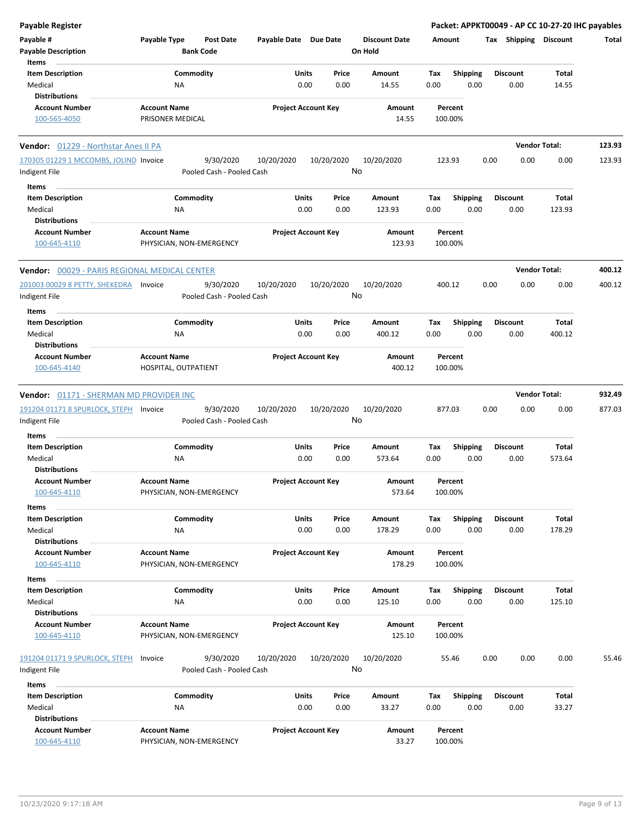| <b>Payable Register</b>                                       |                                                      |                            |                  |                                 |                    |                         | Packet: APPKT00049 - AP CC 10-27-20 IHC payables |                      |        |
|---------------------------------------------------------------|------------------------------------------------------|----------------------------|------------------|---------------------------------|--------------------|-------------------------|--------------------------------------------------|----------------------|--------|
| Payable #<br><b>Payable Description</b>                       | Payable Type<br><b>Post Date</b><br><b>Bank Code</b> | Payable Date Due Date      |                  | <b>Discount Date</b><br>On Hold | Amount             |                         | Tax Shipping Discount                            |                      | Total  |
| Items                                                         |                                                      |                            |                  |                                 |                    |                         |                                                  |                      |        |
| <b>Item Description</b>                                       | Commodity                                            | Units                      | Price            | <b>Amount</b>                   | Tax                | <b>Shipping</b>         | <b>Discount</b>                                  | Total                |        |
| Medical<br><b>Distributions</b>                               | ΝA                                                   | 0.00                       | 0.00             | 14.55                           | 0.00               | 0.00                    | 0.00                                             | 14.55                |        |
|                                                               |                                                      |                            |                  |                                 |                    |                         |                                                  |                      |        |
| <b>Account Number</b><br>100-565-4050                         | <b>Account Name</b><br>PRISONER MEDICAL              | <b>Project Account Key</b> |                  | Amount<br>14.55                 | Percent<br>100.00% |                         |                                                  |                      |        |
| Vendor: 01229 - Northstar Anes II PA                          |                                                      |                            |                  |                                 |                    |                         |                                                  | <b>Vendor Total:</b> | 123.93 |
| 170305 01229 1 MCCOMBS, JOLIND Invoice                        | 9/30/2020                                            | 10/20/2020                 | 10/20/2020       | 10/20/2020                      | 123.93             |                         | 0.00<br>0.00                                     | 0.00                 | 123.93 |
| Indigent File                                                 | Pooled Cash - Pooled Cash                            |                            | No               |                                 |                    |                         |                                                  |                      |        |
| Items                                                         |                                                      |                            |                  |                                 |                    |                         |                                                  |                      |        |
| <b>Item Description</b>                                       | Commodity                                            | Units                      | Price            | Amount                          | Tax                | <b>Shipping</b>         | <b>Discount</b>                                  | Total                |        |
| Medical                                                       | ΝA                                                   | 0.00                       | 0.00             | 123.93                          | 0.00               | 0.00                    | 0.00                                             | 123.93               |        |
| <b>Distributions</b><br><b>Account Number</b><br>100-645-4110 | <b>Account Name</b><br>PHYSICIAN, NON-EMERGENCY      | <b>Project Account Key</b> |                  | Amount<br>123.93                | Percent<br>100.00% |                         |                                                  |                      |        |
| Vendor: 00029 - PARIS REGIONAL MEDICAL CENTER                 |                                                      |                            |                  |                                 |                    |                         |                                                  | <b>Vendor Total:</b> | 400.12 |
|                                                               |                                                      |                            |                  |                                 |                    |                         |                                                  |                      |        |
| 201003 00029 8 PETTY, SHEKEDRA<br>Indigent File               | 9/30/2020<br>Invoice<br>Pooled Cash - Pooled Cash    | 10/20/2020                 | 10/20/2020<br>No | 10/20/2020                      | 400.12             |                         | 0.00<br>0.00                                     | 0.00                 | 400.12 |
| Items                                                         |                                                      |                            |                  |                                 |                    |                         |                                                  |                      |        |
| <b>Item Description</b><br>Medical                            | Commodity                                            | Units<br>0.00              | Price<br>0.00    | Amount<br>400.12                | Tax<br>0.00        | <b>Shipping</b><br>0.00 | <b>Discount</b><br>0.00                          | Total<br>400.12      |        |
| <b>Distributions</b>                                          | ΝA                                                   |                            |                  |                                 |                    |                         |                                                  |                      |        |
| <b>Account Number</b><br>100-645-4140                         | <b>Account Name</b><br>HOSPITAL, OUTPATIENT          | <b>Project Account Key</b> |                  | Amount<br>400.12                | Percent<br>100.00% |                         |                                                  |                      |        |
|                                                               |                                                      |                            |                  |                                 |                    |                         |                                                  |                      |        |
| Vendor: 01171 - SHERMAN MD PROVIDER INC                       |                                                      |                            |                  |                                 |                    |                         |                                                  | <b>Vendor Total:</b> | 932.49 |
| 191204 01171 8 SPURLOCK, STEPH Invoice<br>Indigent File       | 9/30/2020<br>Pooled Cash - Pooled Cash               | 10/20/2020                 | 10/20/2020<br>No | 10/20/2020                      | 877.03             |                         | 0.00<br>0.00                                     | 0.00                 | 877.03 |
| Items                                                         |                                                      |                            |                  |                                 |                    |                         |                                                  |                      |        |
| <b>Item Description</b>                                       | Commodity                                            | Units                      | Price            | Amount                          | Tax                | <b>Shipping</b>         | <b>Discount</b>                                  | <b>Total</b>         |        |
| Medical<br><b>Distributions</b>                               | ΝA                                                   | 0.00                       | 0.00             | 573.64                          | 0.00               | 0.00                    | 0.00                                             | 573.64               |        |
| <b>Account Number</b>                                         | <b>Account Name</b>                                  | <b>Project Account Key</b> |                  | Amount                          | Percent            |                         |                                                  |                      |        |
| 100-645-4110                                                  | PHYSICIAN, NON-EMERGENCY                             |                            |                  | 573.64                          | 100.00%            |                         |                                                  |                      |        |
| Items                                                         |                                                      |                            |                  |                                 |                    |                         |                                                  |                      |        |
| <b>Item Description</b><br>Medical                            | Commodity<br>NA                                      | Units<br>0.00              | Price<br>0.00    | Amount<br>178.29                | Tax<br>0.00        | <b>Shipping</b><br>0.00 | <b>Discount</b><br>0.00                          | Total<br>178.29      |        |
| <b>Distributions</b><br><b>Account Number</b>                 | <b>Account Name</b>                                  | <b>Project Account Key</b> |                  | Amount                          | Percent            |                         |                                                  |                      |        |
| 100-645-4110                                                  | PHYSICIAN, NON-EMERGENCY                             |                            |                  | 178.29                          | 100.00%            |                         |                                                  |                      |        |
| Items                                                         |                                                      |                            |                  |                                 |                    |                         |                                                  |                      |        |
| <b>Item Description</b>                                       | Commodity                                            | <b>Units</b>               | Price            | Amount                          | Tax                | <b>Shipping</b>         | <b>Discount</b>                                  | Total                |        |
| Medical                                                       | <b>NA</b>                                            | 0.00                       | 0.00             | 125.10                          | 0.00               | 0.00                    | 0.00                                             | 125.10               |        |
| <b>Distributions</b>                                          |                                                      |                            |                  |                                 |                    |                         |                                                  |                      |        |
| <b>Account Number</b>                                         | <b>Account Name</b>                                  | <b>Project Account Key</b> |                  | Amount                          | Percent            |                         |                                                  |                      |        |
| 100-645-4110                                                  | PHYSICIAN, NON-EMERGENCY                             |                            |                  | 125.10                          | 100.00%            |                         |                                                  |                      |        |
| 191204 01171 9 SPURLOCK, STEPH                                | 9/30/2020<br>Invoice<br>Pooled Cash - Pooled Cash    | 10/20/2020                 | 10/20/2020<br>No | 10/20/2020                      | 55.46              |                         | 0.00<br>0.00                                     | 0.00                 | 55.46  |
| Indigent File                                                 |                                                      |                            |                  |                                 |                    |                         |                                                  |                      |        |
| Items                                                         |                                                      |                            |                  |                                 |                    |                         |                                                  |                      |        |
| <b>Item Description</b>                                       | Commodity                                            | Units                      | Price            | Amount                          | Tax                | <b>Shipping</b>         | <b>Discount</b>                                  | Total                |        |
| Medical                                                       | <b>NA</b>                                            | 0.00                       | 0.00             | 33.27                           | 0.00               | 0.00                    | 0.00                                             | 33.27                |        |
| <b>Distributions</b>                                          |                                                      |                            |                  |                                 |                    |                         |                                                  |                      |        |
| <b>Account Number</b><br>100-645-4110                         | <b>Account Name</b><br>PHYSICIAN, NON-EMERGENCY      | <b>Project Account Key</b> |                  | Amount<br>33.27                 | Percent<br>100.00% |                         |                                                  |                      |        |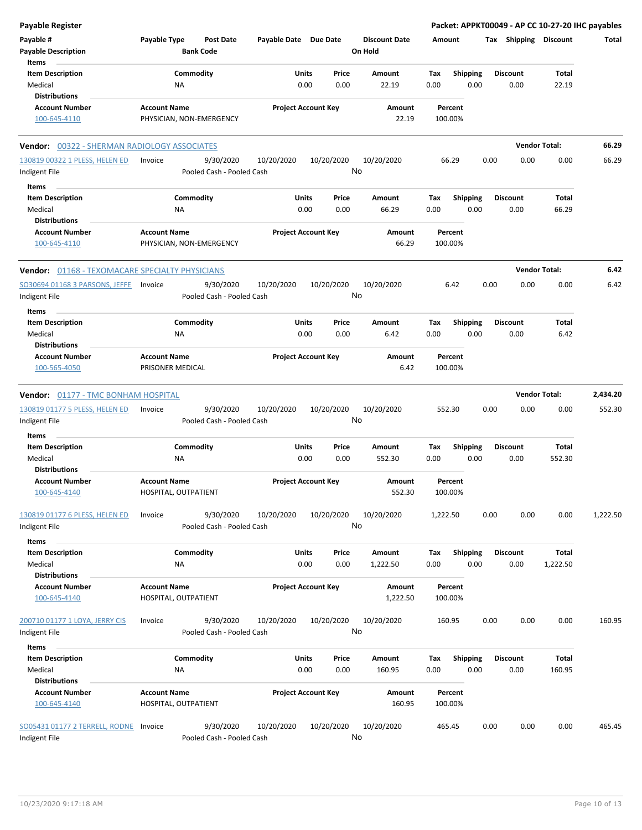| <b>Payable Register</b>                                |                                                      |                            |                                                          |                  | Packet: APPKT00049 - AP CC 10-27-20 IHC payables |      |                 |                       |          |
|--------------------------------------------------------|------------------------------------------------------|----------------------------|----------------------------------------------------------|------------------|--------------------------------------------------|------|-----------------|-----------------------|----------|
| Payable #<br><b>Payable Description</b>                | Payable Type<br><b>Post Date</b><br><b>Bank Code</b> |                            | Payable Date Due Date<br><b>Discount Date</b><br>On Hold |                  |                                                  |      |                 | Tax Shipping Discount | Total    |
| Items                                                  |                                                      |                            |                                                          |                  |                                                  |      |                 |                       |          |
| <b>Item Description</b>                                | Commodity                                            | Units                      | Price                                                    | Amount           | <b>Shipping</b><br>Tax                           |      | <b>Discount</b> | Total                 |          |
| Medical                                                | NA                                                   | 0.00                       | 0.00                                                     | 22.19            | 0.00                                             | 0.00 | 0.00            | 22.19                 |          |
| <b>Distributions</b>                                   |                                                      |                            |                                                          |                  |                                                  |      |                 |                       |          |
| <b>Account Number</b>                                  | <b>Account Name</b>                                  | <b>Project Account Key</b> |                                                          | Amount           | Percent                                          |      |                 |                       |          |
| 100-645-4110                                           | PHYSICIAN, NON-EMERGENCY                             |                            |                                                          | 22.19            | 100.00%                                          |      |                 |                       |          |
| Vendor: 00322 - SHERMAN RADIOLOGY ASSOCIATES           |                                                      |                            |                                                          |                  |                                                  |      |                 | <b>Vendor Total:</b>  | 66.29    |
| 130819 00322 1 PLESS, HELEN ED<br>Indigent File        | 9/30/2020<br>Invoice<br>Pooled Cash - Pooled Cash    | 10/20/2020                 | 10/20/2020                                               | 10/20/2020<br>No | 66.29                                            | 0.00 | 0.00            | 0.00                  | 66.29    |
| Items                                                  |                                                      |                            |                                                          |                  |                                                  |      |                 |                       |          |
| <b>Item Description</b>                                | Commodity                                            | Units                      | Price                                                    | Amount           | <b>Shipping</b><br>Тах                           |      | <b>Discount</b> | Total                 |          |
| Medical                                                | ΝA                                                   | 0.00                       | 0.00                                                     | 66.29            | 0.00                                             | 0.00 | 0.00            | 66.29                 |          |
| <b>Distributions</b>                                   |                                                      |                            |                                                          |                  |                                                  |      |                 |                       |          |
| <b>Account Number</b><br>100-645-4110                  | <b>Account Name</b><br>PHYSICIAN, NON-EMERGENCY      | <b>Project Account Key</b> |                                                          | Amount<br>66.29  | Percent<br>100.00%                               |      |                 |                       |          |
| <b>Vendor: 01168 - TEXOMACARE SPECIALTY PHYSICIANS</b> |                                                      |                            |                                                          |                  |                                                  |      |                 | <b>Vendor Total:</b>  | 6.42     |
| SO30694 01168 3 PARSONS, JEFFE                         | 9/30/2020<br>Invoice                                 | 10/20/2020                 | 10/20/2020                                               | 10/20/2020       | 6.42                                             | 0.00 | 0.00            | 0.00                  | 6.42     |
| Indigent File                                          | Pooled Cash - Pooled Cash                            |                            |                                                          | No               |                                                  |      |                 |                       |          |
| Items                                                  |                                                      |                            |                                                          |                  |                                                  |      |                 |                       |          |
| <b>Item Description</b>                                | Commodity                                            | Units                      | Price                                                    | <b>Amount</b>    | <b>Shipping</b><br>Tax                           |      | <b>Discount</b> | Total                 |          |
| Medical                                                | ΝA                                                   | 0.00                       | 0.00                                                     | 6.42             | 0.00                                             | 0.00 | 0.00            | 6.42                  |          |
| <b>Distributions</b>                                   |                                                      |                            |                                                          |                  |                                                  |      |                 |                       |          |
| <b>Account Number</b>                                  | <b>Account Name</b>                                  | <b>Project Account Key</b> |                                                          | Amount           | Percent                                          |      |                 |                       |          |
| 100-565-4050                                           | PRISONER MEDICAL                                     |                            |                                                          | 6.42             | 100.00%                                          |      |                 |                       |          |
| <b>Vendor: 01177 - TMC BONHAM HOSPITAL</b>             |                                                      |                            |                                                          |                  |                                                  |      |                 | <b>Vendor Total:</b>  | 2,434.20 |
| 130819 01177 5 PLESS, HELEN ED                         | 9/30/2020<br>Invoice                                 | 10/20/2020                 | 10/20/2020                                               | 10/20/2020       | 552.30                                           | 0.00 | 0.00            | 0.00                  | 552.30   |
| Indigent File                                          | Pooled Cash - Pooled Cash                            |                            |                                                          | No               |                                                  |      |                 |                       |          |
| Items                                                  |                                                      |                            |                                                          |                  |                                                  |      |                 |                       |          |
| <b>Item Description</b>                                | Commodity                                            | Units                      | Price                                                    | Amount           | Tax<br><b>Shipping</b>                           |      | <b>Discount</b> | Total                 |          |
| Medical                                                | ΝA                                                   | 0.00                       | 0.00                                                     | 552.30           | 0.00                                             | 0.00 | 0.00            | 552.30                |          |
| <b>Distributions</b>                                   |                                                      |                            |                                                          |                  |                                                  |      |                 |                       |          |
| <b>Account Number</b>                                  | <b>Account Name</b>                                  | <b>Project Account Key</b> |                                                          | Amount           | Percent                                          |      |                 |                       |          |
| 100-645-4140                                           | HOSPITAL, OUTPATIENT                                 |                            |                                                          | 552.30           | 100.00%                                          |      |                 |                       |          |
| 130819 01177 6 PLESS, HELEN ED<br>Indigent File        | 9/30/2020<br>Invoice<br>Pooled Cash - Pooled Cash    | 10/20/2020                 | 10/20/2020                                               | 10/20/2020<br>No | 1,222.50                                         | 0.00 | 0.00            | 0.00                  | 1,222.50 |
| Items                                                  |                                                      |                            |                                                          |                  |                                                  |      |                 |                       |          |
| <b>Item Description</b>                                | Commodity                                            | Units                      | Price                                                    | Amount           | <b>Shipping</b><br>Tax                           |      | <b>Discount</b> | Total                 |          |
| Medical                                                | ΝA                                                   | 0.00                       | 0.00                                                     | 1,222.50         | 0.00                                             | 0.00 | 0.00            | 1,222.50              |          |
| <b>Distributions</b>                                   |                                                      |                            |                                                          |                  |                                                  |      |                 |                       |          |
| <b>Account Number</b>                                  | <b>Account Name</b>                                  | <b>Project Account Key</b> |                                                          | Amount           | Percent                                          |      |                 |                       |          |
| 100-645-4140                                           | HOSPITAL, OUTPATIENT                                 |                            |                                                          | 1,222.50         | 100.00%                                          |      |                 |                       |          |
| 200710 01177 1 LOYA, JERRY CIS                         | 9/30/2020<br>Invoice                                 | 10/20/2020                 | 10/20/2020                                               | 10/20/2020       | 160.95                                           | 0.00 | 0.00            | 0.00                  | 160.95   |
| Indigent File                                          | Pooled Cash - Pooled Cash                            |                            |                                                          | No               |                                                  |      |                 |                       |          |
|                                                        |                                                      |                            |                                                          |                  |                                                  |      |                 |                       |          |
| Items                                                  |                                                      |                            |                                                          |                  |                                                  |      |                 |                       |          |
| <b>Item Description</b>                                | Commodity                                            | Units                      | Price                                                    | Amount           | <b>Shipping</b><br>Tax                           |      | <b>Discount</b> | <b>Total</b>          |          |
| Medical                                                | NA                                                   | 0.00                       | 0.00                                                     | 160.95           | 0.00                                             | 0.00 | 0.00            | 160.95                |          |
| <b>Distributions</b>                                   |                                                      |                            |                                                          |                  |                                                  |      |                 |                       |          |
| <b>Account Number</b><br>100-645-4140                  | <b>Account Name</b><br>HOSPITAL, OUTPATIENT          | <b>Project Account Key</b> |                                                          | Amount<br>160.95 | Percent<br>100.00%                               |      |                 |                       |          |
| SO05431 01177 2 TERRELL, RODNE Invoice                 | 9/30/2020                                            | 10/20/2020                 | 10/20/2020                                               | 10/20/2020       | 465.45                                           | 0.00 | 0.00            | 0.00                  | 465.45   |
| Indigent File                                          | Pooled Cash - Pooled Cash                            |                            |                                                          | No               |                                                  |      |                 |                       |          |
|                                                        |                                                      |                            |                                                          |                  |                                                  |      |                 |                       |          |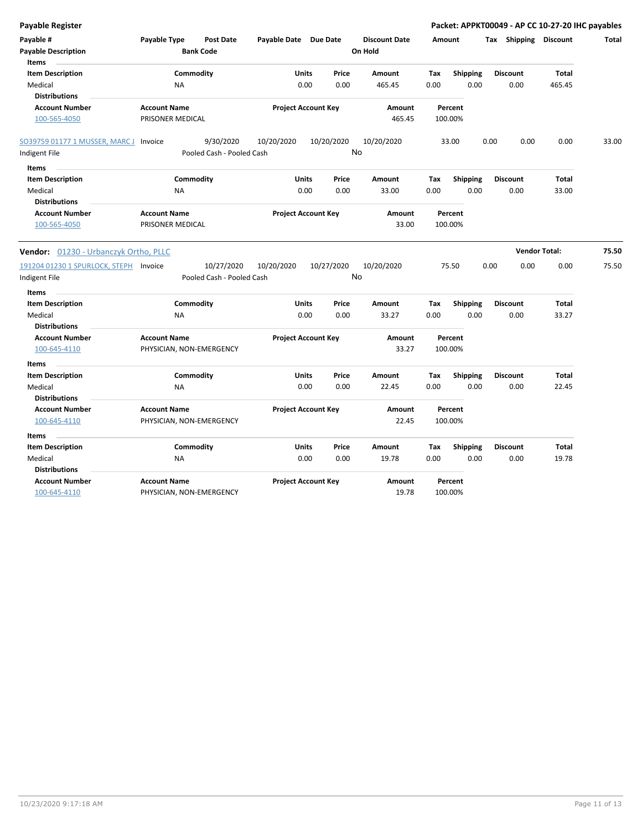| <b>Payable Register</b>                                       |                                         |                                        |                            |               |                  |                                 |             |                         |      | Packet: APPKT00049 - AP CC 10-27-20 IHC payables |                       |       |
|---------------------------------------------------------------|-----------------------------------------|----------------------------------------|----------------------------|---------------|------------------|---------------------------------|-------------|-------------------------|------|--------------------------------------------------|-----------------------|-------|
| Payable #<br><b>Payable Description</b><br><b>Items</b>       | Payable Type                            | Post Date<br><b>Bank Code</b>          | Payable Date Due Date      |               |                  | <b>Discount Date</b><br>On Hold | Amount      |                         |      | Tax Shipping Discount                            |                       | Total |
| <b>Item Description</b>                                       |                                         | Commodity                              |                            | <b>Units</b>  | Price            | Amount                          | Tax         | <b>Shipping</b>         |      | <b>Discount</b>                                  | <b>Total</b>          |       |
| Medical<br><b>Distributions</b>                               | <b>NA</b>                               |                                        |                            | 0.00          | 0.00             | 465.45                          | 0.00        | 0.00                    |      | 0.00                                             | 465.45                |       |
| <b>Account Number</b><br>100-565-4050                         | <b>Account Name</b><br>PRISONER MEDICAL |                                        | <b>Project Account Key</b> |               |                  | Amount<br>465.45                |             | Percent<br>100.00%      |      |                                                  |                       |       |
| SO39759 01177 1 MUSSER, MARC J Invoice<br>Indigent File       |                                         | 9/30/2020<br>Pooled Cash - Pooled Cash | 10/20/2020                 |               | 10/20/2020<br>No | 10/20/2020                      |             | 33.00                   | 0.00 | 0.00                                             | 0.00                  | 33.00 |
|                                                               |                                         |                                        |                            |               |                  |                                 |             |                         |      |                                                  |                       |       |
| Items<br><b>Item Description</b><br>Medical                   | <b>NA</b>                               | Commodity                              |                            | Units<br>0.00 | Price<br>0.00    | Amount<br>33.00                 | Tax<br>0.00 | <b>Shipping</b><br>0.00 |      | <b>Discount</b><br>0.00                          | <b>Total</b><br>33.00 |       |
| <b>Distributions</b><br><b>Account Number</b><br>100-565-4050 | <b>Account Name</b><br>PRISONER MEDICAL |                                        | <b>Project Account Key</b> |               |                  | Amount<br>33.00                 |             | Percent<br>100.00%      |      |                                                  |                       |       |
| Vendor: 01230 - Urbanczyk Ortho, PLLC                         |                                         |                                        |                            |               |                  |                                 |             |                         |      |                                                  | <b>Vendor Total:</b>  | 75.50 |
| 191204 01230 1 SPURLOCK, STEPH Invoice                        |                                         | 10/27/2020                             | 10/20/2020                 |               | 10/27/2020       | 10/20/2020                      |             | 75.50                   | 0.00 | 0.00                                             | 0.00                  | 75.50 |
| Indigent File                                                 |                                         | Pooled Cash - Pooled Cash              |                            |               | No               |                                 |             |                         |      |                                                  |                       |       |
| <b>Items</b>                                                  |                                         |                                        |                            |               |                  |                                 |             |                         |      |                                                  |                       |       |
| <b>Item Description</b>                                       |                                         | Commodity                              |                            | <b>Units</b>  | Price            | Amount                          | Tax         | <b>Shipping</b>         |      | <b>Discount</b>                                  | Total                 |       |
| Medical<br><b>Distributions</b>                               | <b>NA</b>                               |                                        |                            | 0.00          | 0.00             | 33.27                           | 0.00        | 0.00                    |      | 0.00                                             | 33.27                 |       |
| <b>Account Number</b>                                         | <b>Account Name</b>                     |                                        | <b>Project Account Key</b> |               |                  | Amount                          |             | Percent                 |      |                                                  |                       |       |
| 100-645-4110                                                  | PHYSICIAN, NON-EMERGENCY                |                                        |                            |               |                  | 33.27                           |             | 100.00%                 |      |                                                  |                       |       |
| <b>Items</b>                                                  |                                         |                                        |                            |               |                  |                                 |             |                         |      |                                                  |                       |       |
| <b>Item Description</b>                                       |                                         | Commodity                              |                            | Units         | Price            | Amount                          | Tax         | <b>Shipping</b>         |      | <b>Discount</b>                                  | <b>Total</b>          |       |
| Medical<br><b>Distributions</b>                               | <b>NA</b>                               |                                        |                            | 0.00          | 0.00             | 22.45                           | 0.00        | 0.00                    |      | 0.00                                             | 22.45                 |       |
| <b>Account Number</b>                                         | <b>Account Name</b>                     |                                        | <b>Project Account Key</b> |               |                  | Amount                          |             | Percent                 |      |                                                  |                       |       |
| 100-645-4110                                                  | PHYSICIAN, NON-EMERGENCY                |                                        |                            |               |                  | 22.45                           |             | 100.00%                 |      |                                                  |                       |       |
| <b>Items</b>                                                  |                                         |                                        |                            |               |                  |                                 |             |                         |      |                                                  |                       |       |
| <b>Item Description</b>                                       |                                         | Commodity                              |                            | Units         | Price            | Amount                          | Tax         | <b>Shipping</b>         |      | <b>Discount</b>                                  | <b>Total</b>          |       |
| Medical                                                       | <b>NA</b>                               |                                        |                            | 0.00          | 0.00             | 19.78                           | 0.00        | 0.00                    |      | 0.00                                             | 19.78                 |       |
| <b>Distributions</b>                                          |                                         |                                        |                            |               |                  |                                 |             |                         |      |                                                  |                       |       |
| <b>Account Number</b>                                         | <b>Account Name</b>                     |                                        | <b>Project Account Key</b> |               |                  | Amount                          |             | Percent                 |      |                                                  |                       |       |
| 100-645-4110                                                  | PHYSICIAN, NON-EMERGENCY                |                                        |                            |               |                  | 19.78                           |             | 100.00%                 |      |                                                  |                       |       |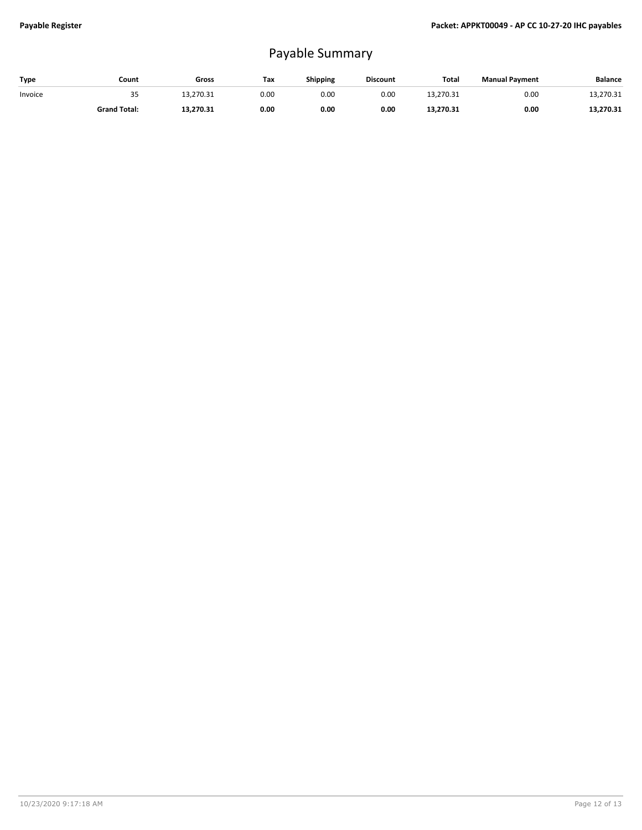## Payable Summary

| Type    | Count               | Gross     | Tax  | Shipping | <b>Discount</b> | Total     | <b>Manual Payment</b> | Balance   |
|---------|---------------------|-----------|------|----------|-----------------|-----------|-----------------------|-----------|
| Invoice | 35                  | 13.270.31 | 0.00 | 0.OC     | 0.00            | 13.270.31 | 0.00                  | 13.270.31 |
|         | <b>Grand Total:</b> | 13,270.31 | 0.00 | 0.00     | 0.00            | 13,270.31 | 0.00                  | 13,270.31 |